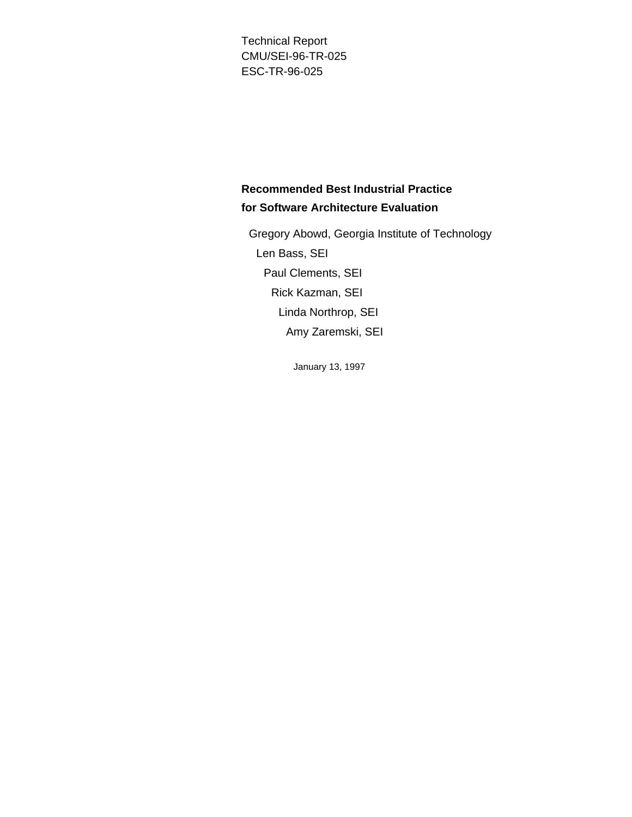Technical Report CMU/SEI-96-TR-025 ESC-TR-96-025

#### **Recommended Best Industrial Practice for Software Architecture Evaluation**

Gregory Abowd, Georgia Institute of Technology Len Bass, SEI Paul Clements, SEI Rick Kazman, SEI Linda Northrop, SEI Amy Zaremski, SEI

January 13, 1997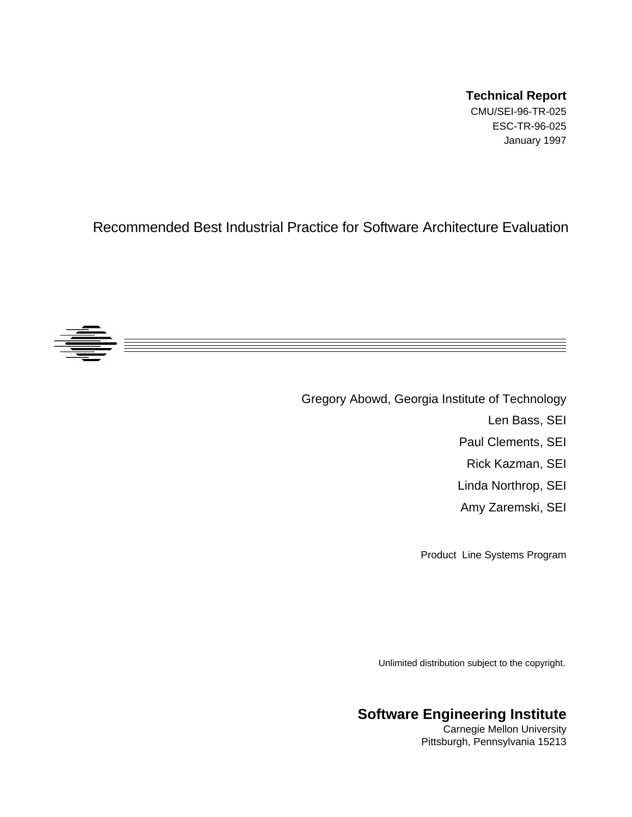#### **Technical Report**

CMU/SEI-96-TR-025 ESC-TR-96-025 January 1997

### Recommended Best Industrial Practice for Software Architecture Evaluation



Gregory Abowd, Georgia Institute of Technology

- Len Bass, SEI
- Paul Clements, SEI
- Rick Kazman, SEI
- Linda Northrop, SEI
- Amy Zaremski, SEI

Product Line Systems Program

Unlimited distribution subject to the copyright.

## **Software Engineering Institute**

Carnegie Mellon University Pittsburgh, Pennsylvania 15213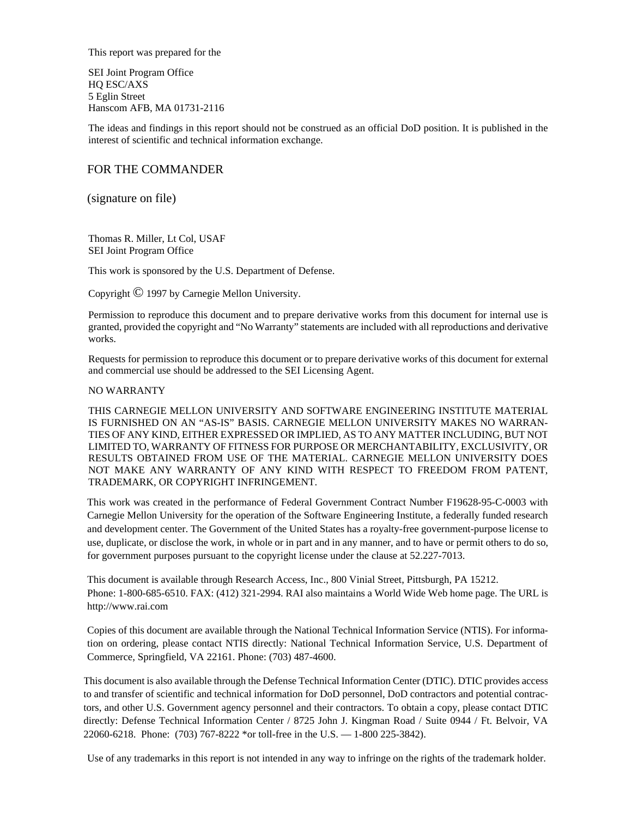This report was prepared for the

SEI Joint Program Office HQ ESC/AXS 5 Eglin Street Hanscom AFB, MA 01731-2116

The ideas and findings in this report should not be construed as an official DoD position. It is published in the interest of scientific and technical information exchange.

#### FOR THE COMMANDER

(signature on file)

Thomas R. Miller, Lt Col, USAF SEI Joint Program Office

This work is sponsored by the U.S. Department of Defense.

Copyright © 1997 by Carnegie Mellon University.

Permission to reproduce this document and to prepare derivative works from this document for internal use is granted, provided the copyright and "No Warranty" statements are included with all reproductions and derivative works.

Requests for permission to reproduce this document or to prepare derivative works of this document for external and commercial use should be addressed to the SEI Licensing Agent.

#### NO WARRANTY

THIS CARNEGIE MELLON UNIVERSITY AND SOFTWARE ENGINEERING INSTITUTE MATERIAL IS FURNISHED ON AN "AS-IS" BASIS. CARNEGIE MELLON UNIVERSITY MAKES NO WARRAN-TIES OF ANY KIND, EITHER EXPRESSED OR IMPLIED, AS TO ANY MATTER INCLUDING, BUT NOT LIMITED TO, WARRANTY OF FITNESS FOR PURPOSE OR MERCHANTABILITY, EXCLUSIVITY, OR RESULTS OBTAINED FROM USE OF THE MATERIAL. CARNEGIE MELLON UNIVERSITY DOES NOT MAKE ANY WARRANTY OF ANY KIND WITH RESPECT TO FREEDOM FROM PATENT, TRADEMARK, OR COPYRIGHT INFRINGEMENT.

This work was created in the performance of Federal Government Contract Number F19628-95-C-0003 with Carnegie Mellon University for the operation of the Software Engineering Institute, a federally funded research and development center. The Government of the United States has a royalty-free government-purpose license to use, duplicate, or disclose the work, in whole or in part and in any manner, and to have or permit others to do so, for government purposes pursuant to the copyright license under the clause at 52.227-7013.

This document is available through Research Access, Inc., 800 Vinial Street, Pittsburgh, PA 15212. Phone: 1-800-685-6510. FAX: (412) 321-2994. RAI also maintains a World Wide Web home page. The URL is http://www.rai.com

Copies of this document are available through the National Technical Information Service (NTIS). For information on ordering, please contact NTIS directly: National Technical Information Service, U.S. Department of Commerce, Springfield, VA 22161. Phone: (703) 487-4600.

This document is also available through the Defense Technical Information Center (DTIC). DTIC provides access to and transfer of scientific and technical information for DoD personnel, DoD contractors and potential contractors, and other U.S. Government agency personnel and their contractors. To obtain a copy, please contact DTIC directly: Defense Technical Information Center / 8725 John J. Kingman Road / Suite 0944 / Ft. Belvoir, VA 22060-6218. Phone: (703) 767-8222 \*or toll-free in the U.S. — 1-800 225-3842).

Use of any trademarks in this report is not intended in any way to infringe on the rights of the trademark holder.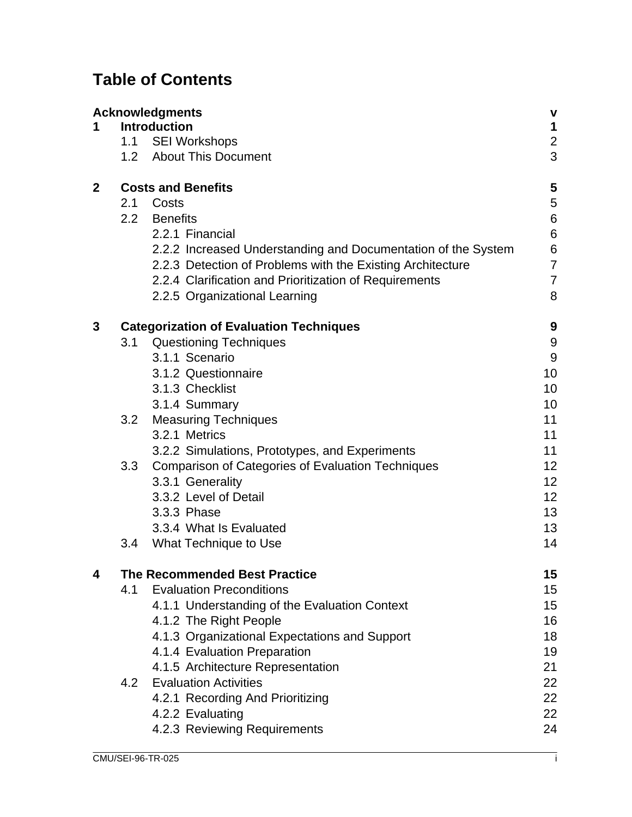# **Table of Contents**

| 1            |                                                | <b>Acknowledgments</b><br><b>Introduction</b>                 | V               |  |  |  |
|--------------|------------------------------------------------|---------------------------------------------------------------|-----------------|--|--|--|
|              | 1.1                                            | <b>SEI Workshops</b>                                          | 1               |  |  |  |
|              |                                                | 1.2 About This Document                                       | $\frac{2}{3}$   |  |  |  |
|              |                                                |                                                               |                 |  |  |  |
| $\mathbf{2}$ | <b>Costs and Benefits</b>                      |                                                               |                 |  |  |  |
|              | 2.1                                            | Costs                                                         | 5               |  |  |  |
|              | 2.2                                            | <b>Benefits</b>                                               | $6\phantom{1}6$ |  |  |  |
|              |                                                | 2.2.1 Financial                                               | $6\phantom{1}6$ |  |  |  |
|              |                                                | 2.2.2 Increased Understanding and Documentation of the System | $6\phantom{1}6$ |  |  |  |
|              |                                                | 2.2.3 Detection of Problems with the Existing Architecture    | $\overline{7}$  |  |  |  |
|              |                                                | 2.2.4 Clarification and Prioritization of Requirements        | $\overline{7}$  |  |  |  |
|              |                                                | 2.2.5 Organizational Learning                                 | 8               |  |  |  |
| 3            | <b>Categorization of Evaluation Techniques</b> |                                                               |                 |  |  |  |
|              |                                                | 3.1 Questioning Techniques                                    | 9               |  |  |  |
|              |                                                | 3.1.1 Scenario                                                | 9               |  |  |  |
|              |                                                | 3.1.2 Questionnaire                                           | 10              |  |  |  |
|              |                                                | 3.1.3 Checklist                                               | 10              |  |  |  |
|              |                                                | 3.1.4 Summary                                                 | 10              |  |  |  |
|              | 3.2                                            | <b>Measuring Techniques</b>                                   | 11              |  |  |  |
|              |                                                | 3.2.1 Metrics                                                 | 11              |  |  |  |
|              |                                                | 3.2.2 Simulations, Prototypes, and Experiments                | 11              |  |  |  |
|              | 3.3                                            | <b>Comparison of Categories of Evaluation Techniques</b>      | 12              |  |  |  |
|              |                                                | 3.3.1 Generality                                              | 12              |  |  |  |
|              |                                                | 3.3.2 Level of Detail                                         | 12              |  |  |  |
|              |                                                | 3.3.3 Phase                                                   | 13              |  |  |  |
|              |                                                | 3.3.4 What Is Evaluated                                       | 13              |  |  |  |
|              | 3.4                                            | What Technique to Use                                         | 14              |  |  |  |
| 4            |                                                | <b>The Recommended Best Practice</b>                          | 15              |  |  |  |
|              | 4.1                                            | <b>Evaluation Preconditions</b>                               | 15              |  |  |  |
|              |                                                | 4.1.1 Understanding of the Evaluation Context                 | 15              |  |  |  |
|              |                                                | 4.1.2 The Right People                                        | 16              |  |  |  |
|              |                                                | 4.1.3 Organizational Expectations and Support                 | 18              |  |  |  |
|              |                                                | 4.1.4 Evaluation Preparation                                  | 19              |  |  |  |
|              |                                                | 4.1.5 Architecture Representation                             | 21              |  |  |  |
|              | 4.2                                            | <b>Evaluation Activities</b>                                  | 22              |  |  |  |
|              |                                                | 4.2.1 Recording And Prioritizing                              | 22              |  |  |  |
|              |                                                | 4.2.2 Evaluating                                              | 22              |  |  |  |
|              |                                                | 4.2.3 Reviewing Requirements                                  | 24              |  |  |  |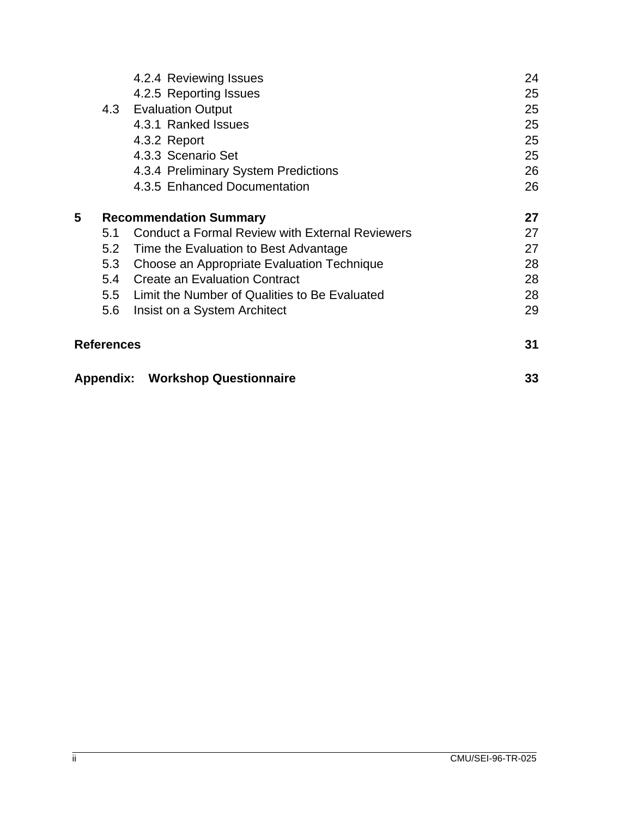|                                         | 4.2.4 Reviewing Issues                          | 24 |  |  |
|-----------------------------------------|-------------------------------------------------|----|--|--|
|                                         | 4.2.5 Reporting Issues                          | 25 |  |  |
| 4.3                                     | <b>Evaluation Output</b>                        | 25 |  |  |
|                                         | 4.3.1 Ranked Issues                             | 25 |  |  |
|                                         | 4.3.2 Report                                    | 25 |  |  |
|                                         | 4.3.3 Scenario Set                              | 25 |  |  |
|                                         | 4.3.4 Preliminary System Predictions            | 26 |  |  |
|                                         | 4.3.5 Enhanced Documentation                    | 26 |  |  |
| 5                                       | <b>Recommendation Summary</b>                   | 27 |  |  |
| 5.1                                     | Conduct a Formal Review with External Reviewers | 27 |  |  |
| 5.2                                     | Time the Evaluation to Best Advantage           | 27 |  |  |
| 5.3                                     | Choose an Appropriate Evaluation Technique      | 28 |  |  |
| 5.4                                     | <b>Create an Evaluation Contract</b>            | 28 |  |  |
| 5.5                                     | Limit the Number of Qualities to Be Evaluated   | 28 |  |  |
| 5.6                                     | Insist on a System Architect                    | 29 |  |  |
| <b>References</b>                       |                                                 |    |  |  |
| <b>Appendix: Workshop Questionnaire</b> |                                                 |    |  |  |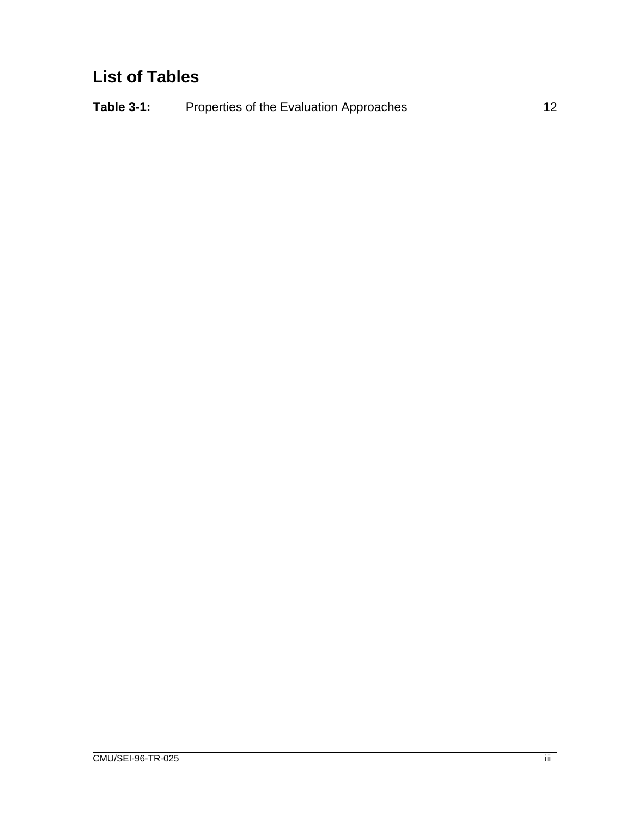# **List of Tables**

| Table 3-1: | Properties of the Evaluation Approaches |  |
|------------|-----------------------------------------|--|
|------------|-----------------------------------------|--|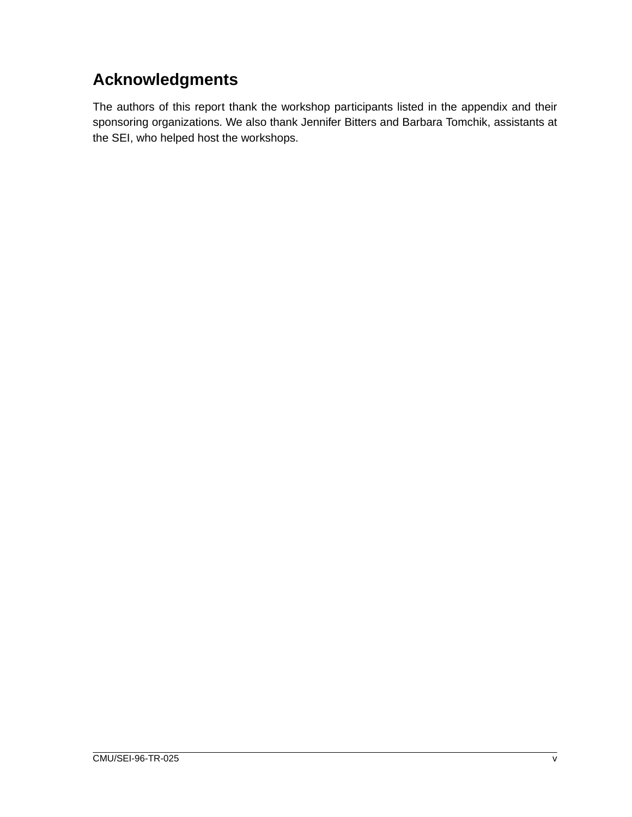# **Acknowledgments**

The authors of this report thank the workshop participants listed in the appendix and their sponsoring organizations. We also thank Jennifer Bitters and Barbara Tomchik, assistants at the SEI, who helped host the workshops.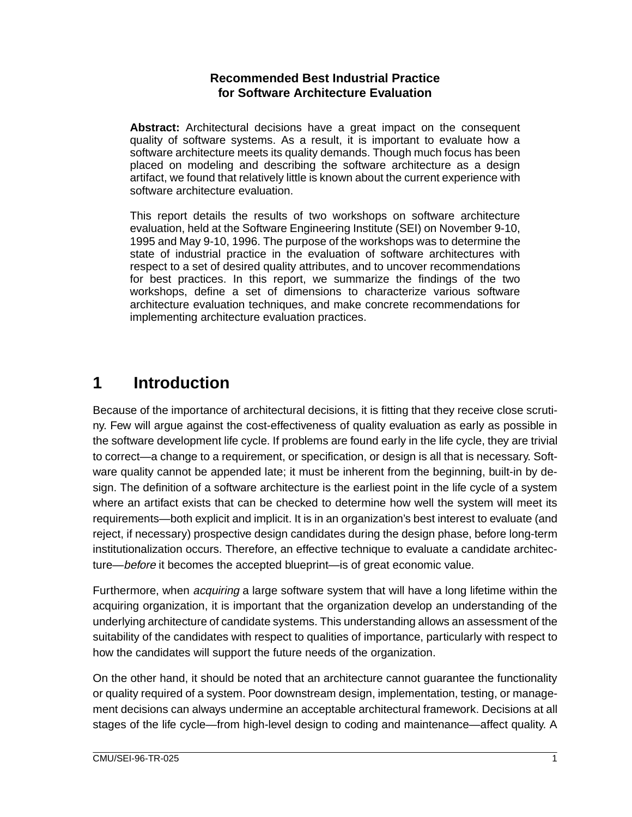#### **Recommended Best Industrial Practice for Software Architecture Evaluation**

<span id="page-10-0"></span>**Abstract:** Architectural decisions have a great impact on the consequent quality of software systems. As a result, it is important to evaluate how a software architecture meets its quality demands. Though much focus has been placed on modeling and describing the software architecture as a design artifact, we found that relatively little is known about the current experience with software architecture evaluation.

This report details the results of two workshops on software architecture evaluation, held at the Software Engineering Institute (SEI) on November 9-10, 1995 and May 9-10, 1996. The purpose of the workshops was to determine the state of industrial practice in the evaluation of software architectures with respect to a set of desired quality attributes, and to uncover recommendations for best practices. In this report, we summarize the findings of the two workshops, define a set of dimensions to characterize various software architecture evaluation techniques, and make concrete recommendations for implementing architecture evaluation practices.

## **1 Introduction**

Because of the importance of architectural decisions, it is fitting that they receive close scrutiny. Few will argue against the cost-effectiveness of quality evaluation as early as possible in the software development life cycle. If problems are found early in the life cycle, they are trivial to correct—a change to a requirement, or specification, or design is all that is necessary. Software quality cannot be appended late; it must be inherent from the beginning, built-in by design. The definition of a software architecture is the earliest point in the life cycle of a system where an artifact exists that can be checked to determine how well the system will meet its requirements—both explicit and implicit. It is in an organization's best interest to evaluate (and reject, if necessary) prospective design candidates during the design phase, before long-term institutionalization occurs. Therefore, an effective technique to evaluate a candidate architecture—before it becomes the accepted blueprint—is of great economic value.

Furthermore, when *acquiring* a large software system that will have a long lifetime within the acquiring organization, it is important that the organization develop an understanding of the underlying architecture of candidate systems. This understanding allows an assessment of the suitability of the candidates with respect to qualities of importance, particularly with respect to how the candidates will support the future needs of the organization.

On the other hand, it should be noted that an architecture cannot guarantee the functionality or quality required of a system. Poor downstream design, implementation, testing, or management decisions can always undermine an acceptable architectural framework. Decisions at all stages of the life cycle—from high-level design to coding and maintenance—affect quality. A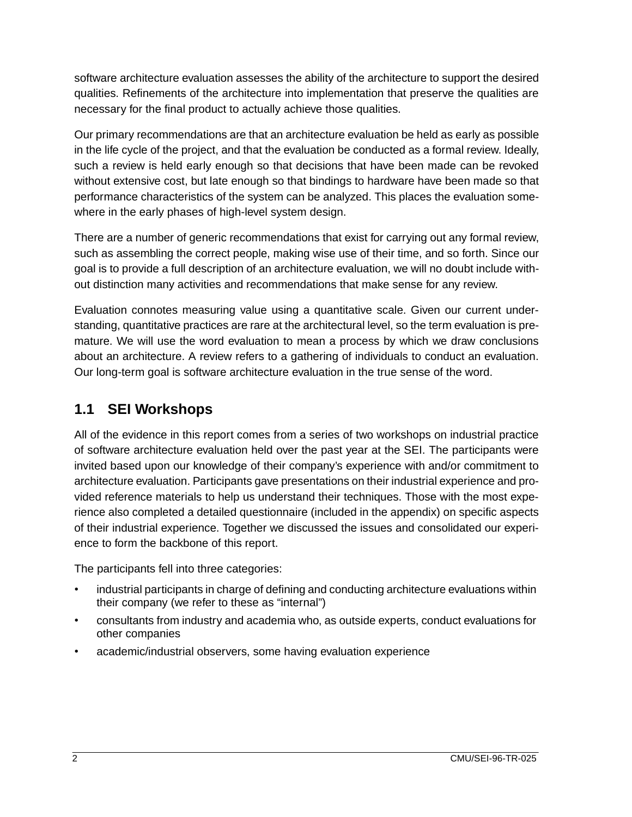<span id="page-11-0"></span>software architecture evaluation assesses the ability of the architecture to support the desired qualities. Refinements of the architecture into implementation that preserve the qualities are necessary for the final product to actually achieve those qualities.

Our primary recommendations are that an architecture evaluation be held as early as possible in the life cycle of the project, and that the evaluation be conducted as a formal review. Ideally, such a review is held early enough so that decisions that have been made can be revoked without extensive cost, but late enough so that bindings to hardware have been made so that performance characteristics of the system can be analyzed. This places the evaluation somewhere in the early phases of high-level system design.

There are a number of generic recommendations that exist for carrying out any formal review, such as assembling the correct people, making wise use of their time, and so forth. Since our goal is to provide a full description of an architecture evaluation, we will no doubt include without distinction many activities and recommendations that make sense for any review.

Evaluation connotes measuring value using a quantitative scale. Given our current understanding, quantitative practices are rare at the architectural level, so the term evaluation is premature. We will use the word evaluation to mean a process by which we draw conclusions about an architecture. A review refers to a gathering of individuals to conduct an evaluation. Our long-term goal is software architecture evaluation in the true sense of the word.

### **1.1 SEI Workshops**

All of the evidence in this report comes from a series of two workshops on industrial practice of software architecture evaluation held over the past year at the SEI. The participants were invited based upon our knowledge of their company's experience with and/or commitment to architecture evaluation. Participants gave presentations on their industrial experience and provided reference materials to help us understand their techniques. Those with the most experience also completed a detailed questionnaire (included in the appendix) on specific aspects of their industrial experience. Together we discussed the issues and consolidated our experience to form the backbone of this report.

The participants fell into three categories:

- industrial participants in charge of defining and conducting architecture evaluations within their company (we refer to these as "internal")
- consultants from industry and academia who, as outside experts, conduct evaluations for other companies
- academic/industrial observers, some having evaluation experience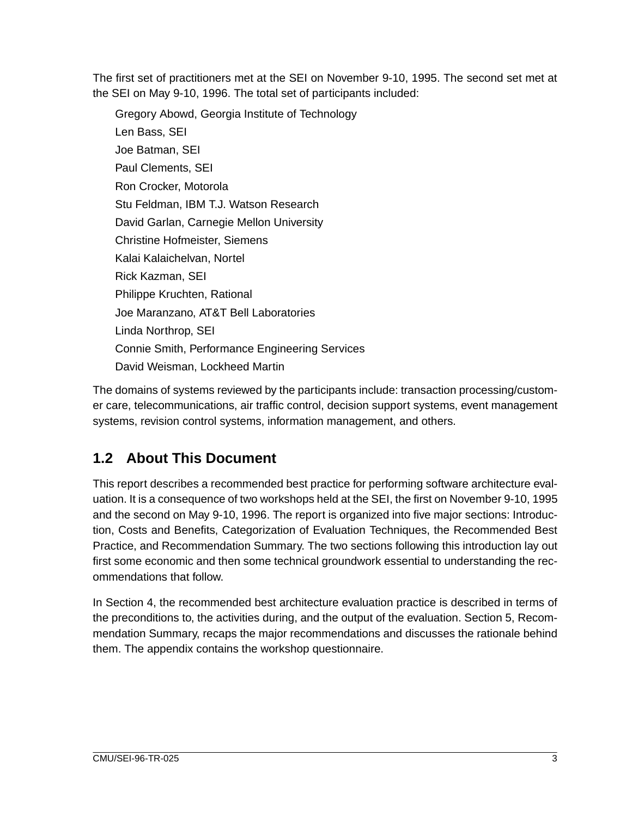<span id="page-12-0"></span>The first set of practitioners met at the SEI on November 9-10, 1995. The second set met at the SEI on May 9-10, 1996. The total set of participants included:

Gregory Abowd, Georgia Institute of Technology Len Bass, SEI Joe Batman, SEI Paul Clements, SEI Ron Crocker, Motorola Stu Feldman, IBM T.J. Watson Research David Garlan, Carnegie Mellon University Christine Hofmeister, Siemens Kalai Kalaichelvan, Nortel Rick Kazman, SEI Philippe Kruchten, Rational Joe Maranzano, AT&T Bell Laboratories Linda Northrop, SEI Connie Smith, Performance Engineering Services David Weisman, Lockheed Martin

The domains of systems reviewed by the participants include: transaction processing/customer care, telecommunications, air traffic control, decision support systems, event management systems, revision control systems, information management, and others.

## **1.2 About This Document**

This report describes a recommended best practice for performing software architecture evaluation. It is a consequence of two workshops held at the SEI, the first on November 9-10, 1995 and the second on May 9-10, 1996. The report is organized into five major sections: Introduction, Costs and Benefits, Categorization of Evaluation Techniques, the Recommended Best Practice, and Recommendation Summary. The two sections following this introduction lay out first some economic and then some technical groundwork essential to understanding the recommendations that follow.

In Section 4, the recommended best architecture evaluation practice is described in terms of the preconditions to, the activities during, and the output of the evaluation. Section 5, Recommendation Summary, recaps the major recommendations and discusses the rationale behind them. The appendix contains the workshop questionnaire.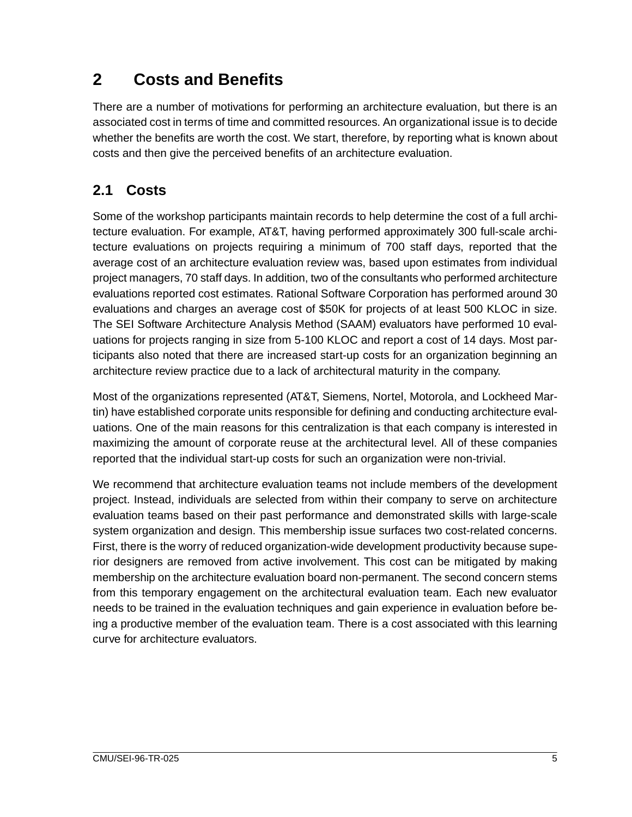# <span id="page-14-0"></span>**2 Costs and Benefits**

There are a number of motivations for performing an architecture evaluation, but there is an associated cost in terms of time and committed resources. An organizational issue is to decide whether the benefits are worth the cost. We start, therefore, by reporting what is known about costs and then give the perceived benefits of an architecture evaluation.

## **2.1 Costs**

Some of the workshop participants maintain records to help determine the cost of a full architecture evaluation. For example, AT&T, having performed approximately 300 full-scale architecture evaluations on projects requiring a minimum of 700 staff days, reported that the average cost of an architecture evaluation review was, based upon estimates from individual project managers, 70 staff days. In addition, two of the consultants who performed architecture evaluations reported cost estimates. Rational Software Corporation has performed around 30 evaluations and charges an average cost of \$50K for projects of at least 500 KLOC in size. The SEI Software Architecture Analysis Method (SAAM) evaluators have performed 10 evaluations for projects ranging in size from 5-100 KLOC and report a cost of 14 days. Most participants also noted that there are increased start-up costs for an organization beginning an architecture review practice due to a lack of architectural maturity in the company.

Most of the organizations represented (AT&T, Siemens, Nortel, Motorola, and Lockheed Martin) have established corporate units responsible for defining and conducting architecture evaluations. One of the main reasons for this centralization is that each company is interested in maximizing the amount of corporate reuse at the architectural level. All of these companies reported that the individual start-up costs for such an organization were non-trivial.

We recommend that architecture evaluation teams not include members of the development project. Instead, individuals are selected from within their company to serve on architecture evaluation teams based on their past performance and demonstrated skills with large-scale system organization and design. This membership issue surfaces two cost-related concerns. First, there is the worry of reduced organization-wide development productivity because superior designers are removed from active involvement. This cost can be mitigated by making membership on the architecture evaluation board non-permanent. The second concern stems from this temporary engagement on the architectural evaluation team. Each new evaluator needs to be trained in the evaluation techniques and gain experience in evaluation before being a productive member of the evaluation team. There is a cost associated with this learning curve for architecture evaluators.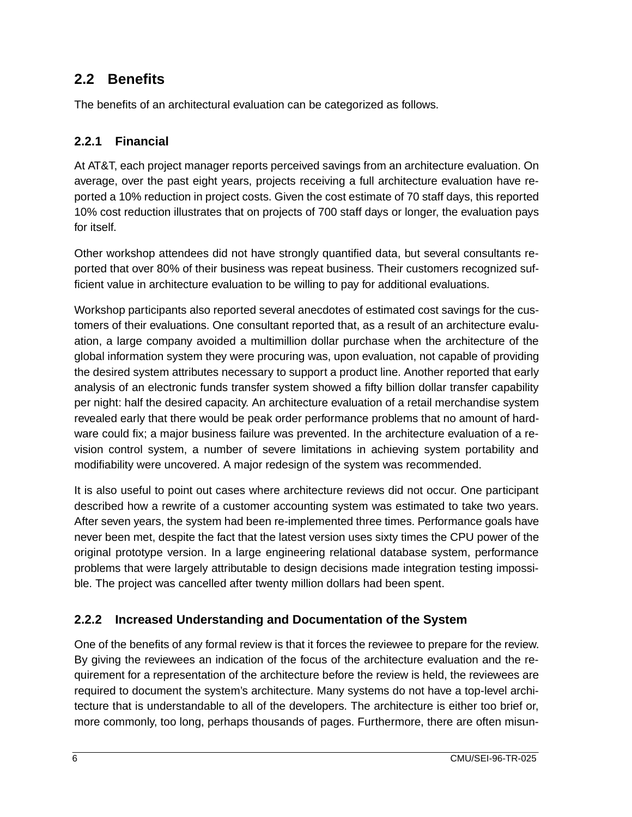### <span id="page-15-0"></span>**2.2 Benefits**

The benefits of an architectural evaluation can be categorized as follows.

#### **2.2.1 Financial**

At AT&T, each project manager reports perceived savings from an architecture evaluation. On average, over the past eight years, projects receiving a full architecture evaluation have reported a 10% reduction in project costs. Given the cost estimate of 70 staff days, this reported 10% cost reduction illustrates that on projects of 700 staff days or longer, the evaluation pays for itself.

Other workshop attendees did not have strongly quantified data, but several consultants reported that over 80% of their business was repeat business. Their customers recognized sufficient value in architecture evaluation to be willing to pay for additional evaluations.

Workshop participants also reported several anecdotes of estimated cost savings for the customers of their evaluations. One consultant reported that, as a result of an architecture evaluation, a large company avoided a multimillion dollar purchase when the architecture of the global information system they were procuring was, upon evaluation, not capable of providing the desired system attributes necessary to support a product line. Another reported that early analysis of an electronic funds transfer system showed a fifty billion dollar transfer capability per night: half the desired capacity. An architecture evaluation of a retail merchandise system revealed early that there would be peak order performance problems that no amount of hardware could fix; a major business failure was prevented. In the architecture evaluation of a revision control system, a number of severe limitations in achieving system portability and modifiability were uncovered. A major redesign of the system was recommended.

It is also useful to point out cases where architecture reviews did not occur. One participant described how a rewrite of a customer accounting system was estimated to take two years. After seven years, the system had been re-implemented three times. Performance goals have never been met, despite the fact that the latest version uses sixty times the CPU power of the original prototype version. In a large engineering relational database system, performance problems that were largely attributable to design decisions made integration testing impossible. The project was cancelled after twenty million dollars had been spent.

#### **2.2.2 Increased Understanding and Documentation of the System**

One of the benefits of any formal review is that it forces the reviewee to prepare for the review. By giving the reviewees an indication of the focus of the architecture evaluation and the requirement for a representation of the architecture before the review is held, the reviewees are required to document the system's architecture. Many systems do not have a top-level architecture that is understandable to all of the developers. The architecture is either too brief or, more commonly, too long, perhaps thousands of pages. Furthermore, there are often misun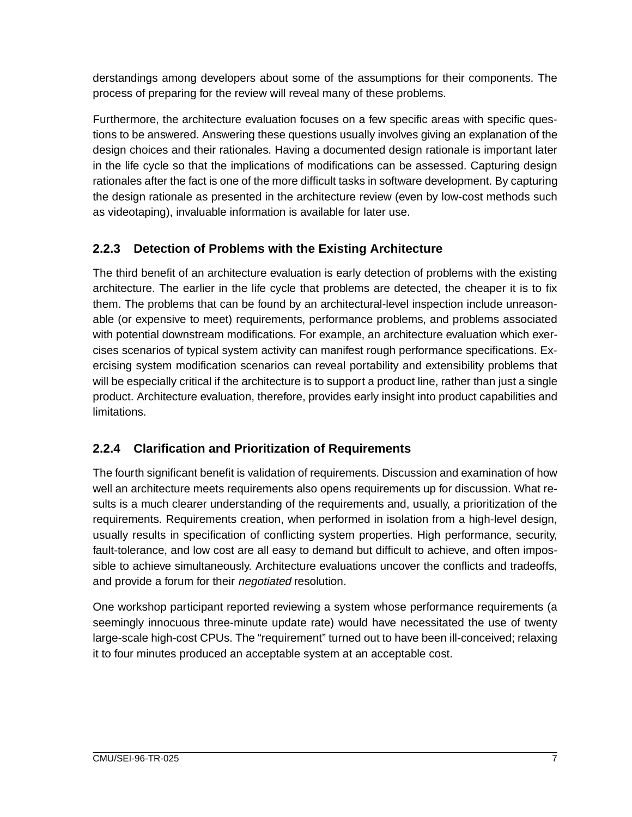<span id="page-16-0"></span>derstandings among developers about some of the assumptions for their components. The process of preparing for the review will reveal many of these problems.

Furthermore, the architecture evaluation focuses on a few specific areas with specific questions to be answered. Answering these questions usually involves giving an explanation of the design choices and their rationales. Having a documented design rationale is important later in the life cycle so that the implications of modifications can be assessed. Capturing design rationales after the fact is one of the more difficult tasks in software development. By capturing the design rationale as presented in the architecture review (even by low-cost methods such as videotaping), invaluable information is available for later use.

#### **2.2.3 Detection of Problems with the Existing Architecture**

The third benefit of an architecture evaluation is early detection of problems with the existing architecture. The earlier in the life cycle that problems are detected, the cheaper it is to fix them. The problems that can be found by an architectural-level inspection include unreasonable (or expensive to meet) requirements, performance problems, and problems associated with potential downstream modifications. For example, an architecture evaluation which exercises scenarios of typical system activity can manifest rough performance specifications. Exercising system modification scenarios can reveal portability and extensibility problems that will be especially critical if the architecture is to support a product line, rather than just a single product. Architecture evaluation, therefore, provides early insight into product capabilities and limitations.

#### **2.2.4 Clarification and Prioritization of Requirements**

The fourth significant benefit is validation of requirements. Discussion and examination of how well an architecture meets requirements also opens requirements up for discussion. What results is a much clearer understanding of the requirements and, usually, a prioritization of the requirements. Requirements creation, when performed in isolation from a high-level design, usually results in specification of conflicting system properties. High performance, security, fault-tolerance, and low cost are all easy to demand but difficult to achieve, and often impossible to achieve simultaneously. Architecture evaluations uncover the conflicts and tradeoffs, and provide a forum for their *negotiated* resolution.

One workshop participant reported reviewing a system whose performance requirements (a seemingly innocuous three-minute update rate) would have necessitated the use of twenty large-scale high-cost CPUs. The "requirement" turned out to have been ill-conceived; relaxing it to four minutes produced an acceptable system at an acceptable cost.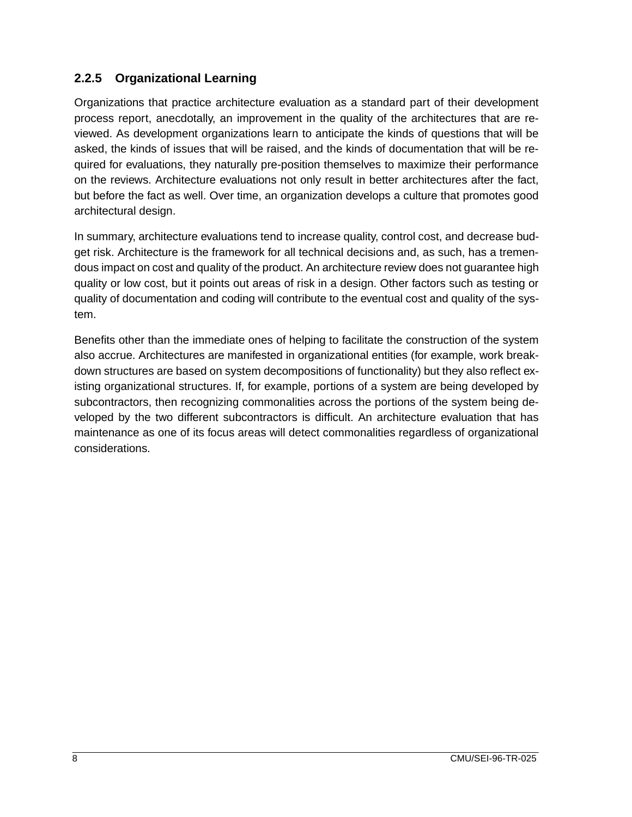#### <span id="page-17-0"></span>**2.2.5 Organizational Learning**

Organizations that practice architecture evaluation as a standard part of their development process report, anecdotally, an improvement in the quality of the architectures that are reviewed. As development organizations learn to anticipate the kinds of questions that will be asked, the kinds of issues that will be raised, and the kinds of documentation that will be required for evaluations, they naturally pre-position themselves to maximize their performance on the reviews. Architecture evaluations not only result in better architectures after the fact, but before the fact as well. Over time, an organization develops a culture that promotes good architectural design.

In summary, architecture evaluations tend to increase quality, control cost, and decrease budget risk. Architecture is the framework for all technical decisions and, as such, has a tremendous impact on cost and quality of the product. An architecture review does not guarantee high quality or low cost, but it points out areas of risk in a design. Other factors such as testing or quality of documentation and coding will contribute to the eventual cost and quality of the system.

Benefits other than the immediate ones of helping to facilitate the construction of the system also accrue. Architectures are manifested in organizational entities (for example, work breakdown structures are based on system decompositions of functionality) but they also reflect existing organizational structures. If, for example, portions of a system are being developed by subcontractors, then recognizing commonalities across the portions of the system being developed by the two different subcontractors is difficult. An architecture evaluation that has maintenance as one of its focus areas will detect commonalities regardless of organizational considerations.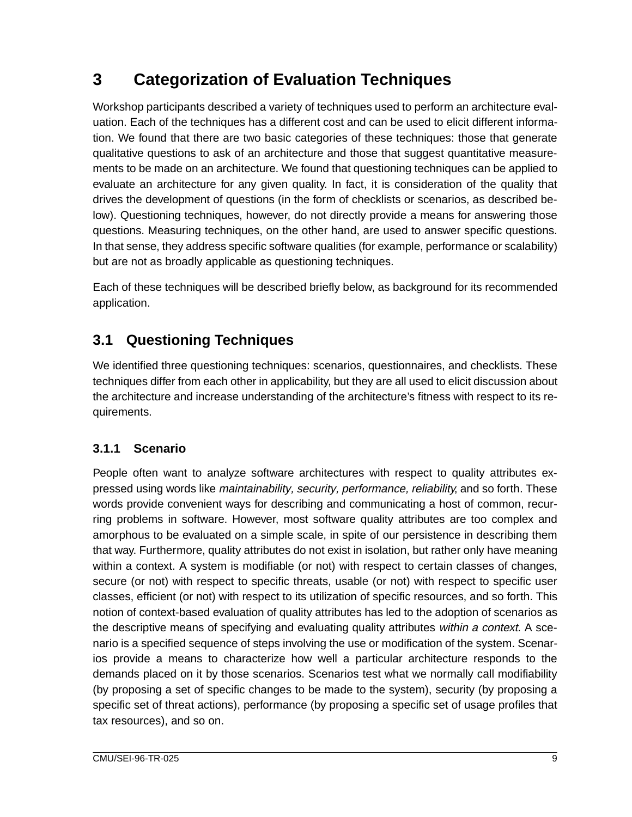# <span id="page-18-0"></span>**3 Categorization of Evaluation Techniques**

Workshop participants described a variety of techniques used to perform an architecture evaluation. Each of the techniques has a different cost and can be used to elicit different information. We found that there are two basic categories of these techniques: those that generate qualitative questions to ask of an architecture and those that suggest quantitative measurements to be made on an architecture. We found that questioning techniques can be applied to evaluate an architecture for any given quality. In fact, it is consideration of the quality that drives the development of questions (in the form of checklists or scenarios, as described below). Questioning techniques, however, do not directly provide a means for answering those questions. Measuring techniques, on the other hand, are used to answer specific questions. In that sense, they address specific software qualities (for example, performance or scalability) but are not as broadly applicable as questioning techniques.

Each of these techniques will be described briefly below, as background for its recommended application.

## **3.1 Questioning Techniques**

We identified three questioning techniques: scenarios, questionnaires, and checklists. These techniques differ from each other in applicability, but they are all used to elicit discussion about the architecture and increase understanding of the architecture's fitness with respect to its requirements.

### **3.1.1 Scenario**

People often want to analyze software architectures with respect to quality attributes expressed using words like *maintainability, security, performance, reliability*, and so forth. These words provide convenient ways for describing and communicating a host of common, recurring problems in software. However, most software quality attributes are too complex and amorphous to be evaluated on a simple scale, in spite of our persistence in describing them that way. Furthermore, quality attributes do not exist in isolation, but rather only have meaning within a context. A system is modifiable (or not) with respect to certain classes of changes, secure (or not) with respect to specific threats, usable (or not) with respect to specific user classes, efficient (or not) with respect to its utilization of specific resources, and so forth. This notion of context-based evaluation of quality attributes has led to the adoption of scenarios as the descriptive means of specifying and evaluating quality attributes within a context. A scenario is a specified sequence of steps involving the use or modification of the system. Scenarios provide a means to characterize how well a particular architecture responds to the demands placed on it by those scenarios. Scenarios test what we normally call modifiability (by proposing a set of specific changes to be made to the system), security (by proposing a specific set of threat actions), performance (by proposing a specific set of usage profiles that tax resources), and so on.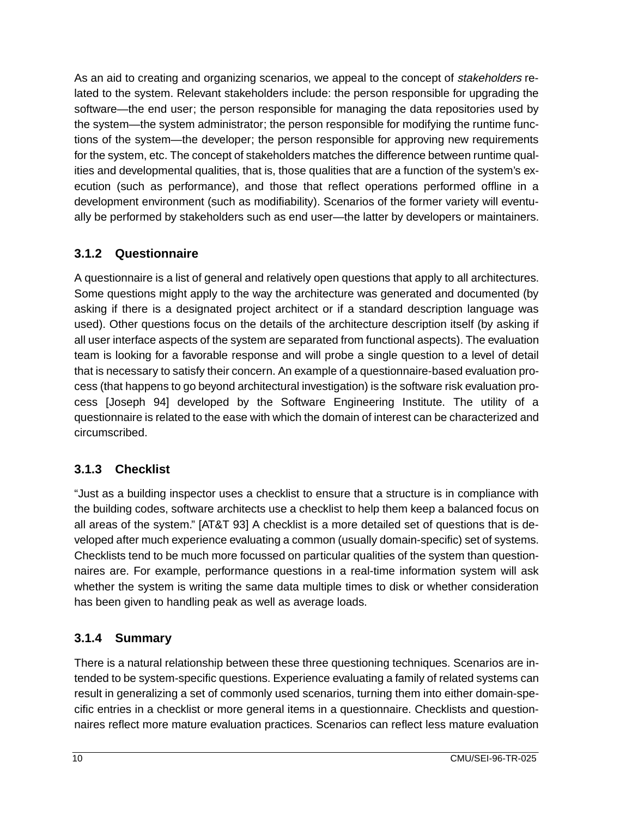<span id="page-19-0"></span>As an aid to creating and organizing scenarios, we appeal to the concept of *stakeholders* related to the system. Relevant stakeholders include: the person responsible for upgrading the software—the end user; the person responsible for managing the data repositories used by the system—the system administrator; the person responsible for modifying the runtime functions of the system—the developer; the person responsible for approving new requirements for the system, etc. The concept of stakeholders matches the difference between runtime qualities and developmental qualities, that is, those qualities that are a function of the system's execution (such as performance), and those that reflect operations performed offline in a development environment (such as modifiability). Scenarios of the former variety will eventually be performed by stakeholders such as end user—the latter by developers or maintainers.

#### **3.1.2 Questionnaire**

A questionnaire is a list of general and relatively open questions that apply to all architectures. Some questions might apply to the way the architecture was generated and documented (by asking if there is a designated project architect or if a standard description language was used). Other questions focus on the details of the architecture description itself (by asking if all user interface aspects of the system are separated from functional aspects). The evaluation team is looking for a favorable response and will probe a single question to a level of detail that is necessary to satisfy their concern. An example of a questionnaire-based evaluation process (that happens to go beyond architectural investigation) is the software risk evaluation process [Joseph 94] developed by the Software Engineering Institute. The utility of a questionnaire is related to the ease with which the domain of interest can be characterized and circumscribed.

#### **3.1.3 Checklist**

"Just as a building inspector uses a checklist to ensure that a structure is in compliance with the building codes, software architects use a checklist to help them keep a balanced focus on all areas of the system." [AT&T 93] A checklist is a more detailed set of questions that is developed after much experience evaluating a common (usually domain-specific) set of systems. Checklists tend to be much more focussed on particular qualities of the system than questionnaires are. For example, performance questions in a real-time information system will ask whether the system is writing the same data multiple times to disk or whether consideration has been given to handling peak as well as average loads.

#### **3.1.4 Summary**

There is a natural relationship between these three questioning techniques. Scenarios are intended to be system-specific questions. Experience evaluating a family of related systems can result in generalizing a set of commonly used scenarios, turning them into either domain-specific entries in a checklist or more general items in a questionnaire. Checklists and questionnaires reflect more mature evaluation practices. Scenarios can reflect less mature evaluation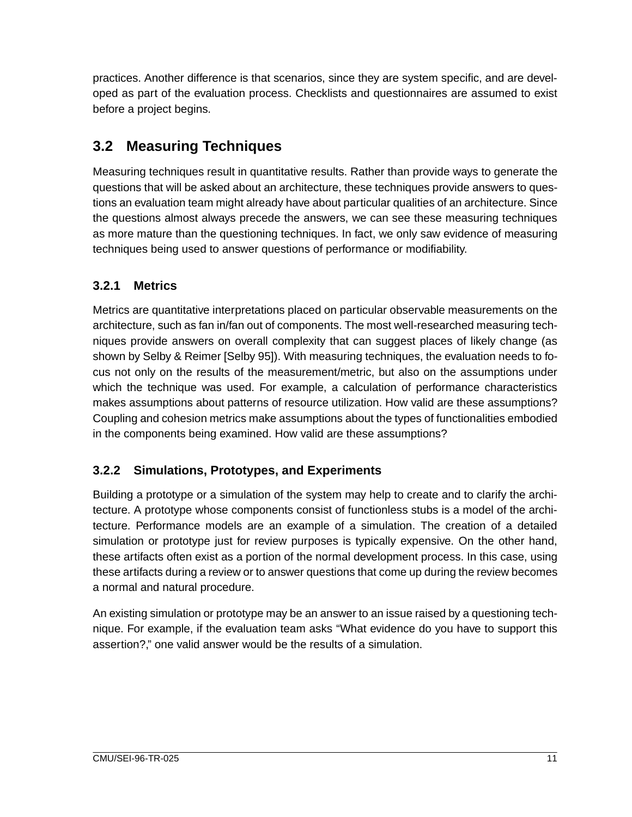<span id="page-20-0"></span>practices. Another difference is that scenarios, since they are system specific, and are developed as part of the evaluation process. Checklists and questionnaires are assumed to exist before a project begins.

## **3.2 Measuring Techniques**

Measuring techniques result in quantitative results. Rather than provide ways to generate the questions that will be asked about an architecture, these techniques provide answers to questions an evaluation team might already have about particular qualities of an architecture. Since the questions almost always precede the answers, we can see these measuring techniques as more mature than the questioning techniques. In fact, we only saw evidence of measuring techniques being used to answer questions of performance or modifiability.

### **3.2.1 Metrics**

Metrics are quantitative interpretations placed on particular observable measurements on the architecture, such as fan in/fan out of components. The most well-researched measuring techniques provide answers on overall complexity that can suggest places of likely change (as shown by Selby & Reimer [Selby 95]). With measuring techniques, the evaluation needs to focus not only on the results of the measurement/metric, but also on the assumptions under which the technique was used. For example, a calculation of performance characteristics makes assumptions about patterns of resource utilization. How valid are these assumptions? Coupling and cohesion metrics make assumptions about the types of functionalities embodied in the components being examined. How valid are these assumptions?

### **3.2.2 Simulations, Prototypes, and Experiments**

Building a prototype or a simulation of the system may help to create and to clarify the architecture. A prototype whose components consist of functionless stubs is a model of the architecture. Performance models are an example of a simulation. The creation of a detailed simulation or prototype just for review purposes is typically expensive. On the other hand, these artifacts often exist as a portion of the normal development process. In this case, using these artifacts during a review or to answer questions that come up during the review becomes a normal and natural procedure.

An existing simulation or prototype may be an answer to an issue raised by a questioning technique. For example, if the evaluation team asks "What evidence do you have to support this assertion?," one valid answer would be the results of a simulation.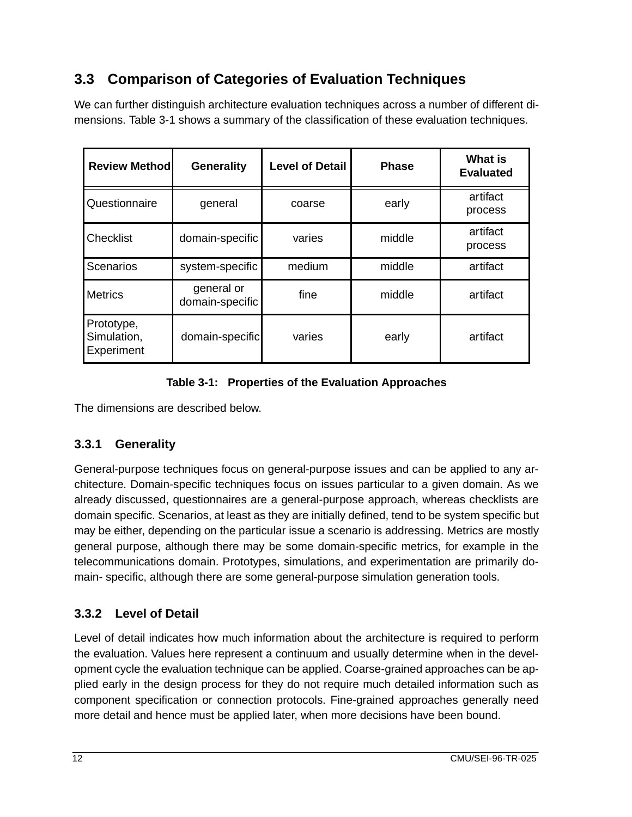## <span id="page-21-0"></span>**3.3 Comparison of Categories of Evaluation Techniques**

We can further distinguish architecture evaluation techniques across a number of different dimensions. Table 3-1 shows a summary of the classification of these evaluation techniques.

| <b>Review Methodl</b>                   | <b>Generality</b>             | <b>Level of Detail</b> | <b>Phase</b> | What is<br><b>Evaluated</b> |
|-----------------------------------------|-------------------------------|------------------------|--------------|-----------------------------|
| Questionnaire                           | general                       | coarse                 | early        | artifact<br>process         |
| Checklist                               | domain-specific               | varies                 | middle       | artifact<br>process         |
| <b>Scenarios</b>                        | system-specific               | medium                 | middle       | artifact                    |
| <b>Metrics</b>                          | general or<br>domain-specific | fine                   | middle       | artifact                    |
| Prototype,<br>Simulation,<br>Experiment | domain-specific               | varies                 | early        | artifact                    |

#### **Table 3-1: Properties of the Evaluation Approaches**

The dimensions are described below.

#### **3.3.1 Generality**

General-purpose techniques focus on general-purpose issues and can be applied to any architecture. Domain-specific techniques focus on issues particular to a given domain. As we already discussed, questionnaires are a general-purpose approach, whereas checklists are domain specific. Scenarios, at least as they are initially defined, tend to be system specific but may be either, depending on the particular issue a scenario is addressing. Metrics are mostly general purpose, although there may be some domain-specific metrics, for example in the telecommunications domain. Prototypes, simulations, and experimentation are primarily domain- specific, although there are some general-purpose simulation generation tools.

#### **3.3.2 Level of Detail**

Level of detail indicates how much information about the architecture is required to perform the evaluation. Values here represent a continuum and usually determine when in the development cycle the evaluation technique can be applied. Coarse-grained approaches can be applied early in the design process for they do not require much detailed information such as component specification or connection protocols. Fine-grained approaches generally need more detail and hence must be applied later, when more decisions have been bound.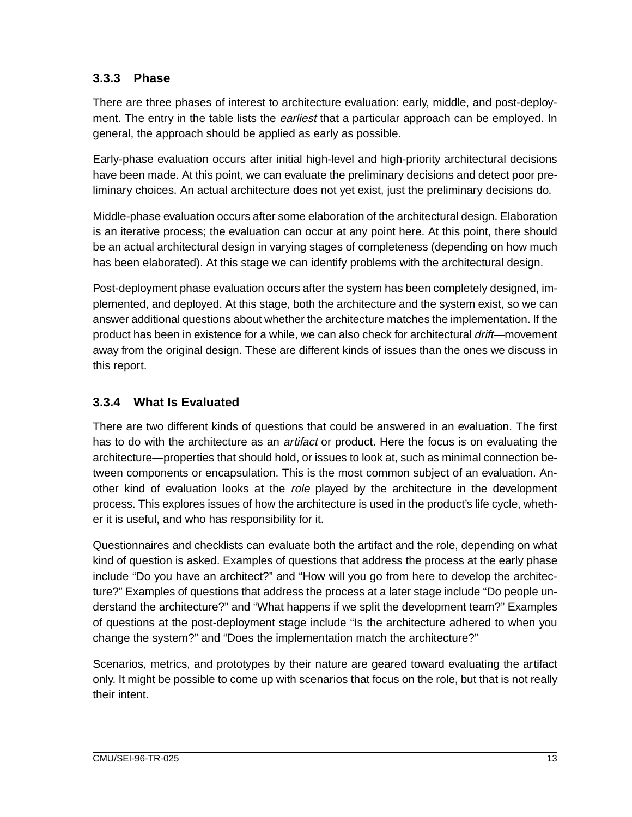#### <span id="page-22-0"></span>**3.3.3 Phase**

There are three phases of interest to architecture evaluation: early, middle, and post-deployment. The entry in the table lists the *earliest* that a particular approach can be employed. In general, the approach should be applied as early as possible.

Early-phase evaluation occurs after initial high-level and high-priority architectural decisions have been made. At this point, we can evaluate the preliminary decisions and detect poor preliminary choices. An actual architecture does not yet exist, just the preliminary decisions do.

Middle-phase evaluation occurs after some elaboration of the architectural design. Elaboration is an iterative process; the evaluation can occur at any point here. At this point, there should be an actual architectural design in varying stages of completeness (depending on how much has been elaborated). At this stage we can identify problems with the architectural design.

Post-deployment phase evaluation occurs after the system has been completely designed, implemented, and deployed. At this stage, both the architecture and the system exist, so we can answer additional questions about whether the architecture matches the implementation. If the product has been in existence for a while, we can also check for architectural *drift*—movement away from the original design. These are different kinds of issues than the ones we discuss in this report.

#### **3.3.4 What Is Evaluated**

There are two different kinds of questions that could be answered in an evaluation. The first has to do with the architecture as an *artifact* or product. Here the focus is on evaluating the architecture—properties that should hold, or issues to look at, such as minimal connection between components or encapsulation. This is the most common subject of an evaluation. Another kind of evaluation looks at the role played by the architecture in the development process. This explores issues of how the architecture is used in the product's life cycle, whether it is useful, and who has responsibility for it.

Questionnaires and checklists can evaluate both the artifact and the role, depending on what kind of question is asked. Examples of questions that address the process at the early phase include "Do you have an architect?" and "How will you go from here to develop the architecture?" Examples of questions that address the process at a later stage include "Do people understand the architecture?" and "What happens if we split the development team?" Examples of questions at the post-deployment stage include "Is the architecture adhered to when you change the system?" and "Does the implementation match the architecture?"

Scenarios, metrics, and prototypes by their nature are geared toward evaluating the artifact only. It might be possible to come up with scenarios that focus on the role, but that is not really their intent.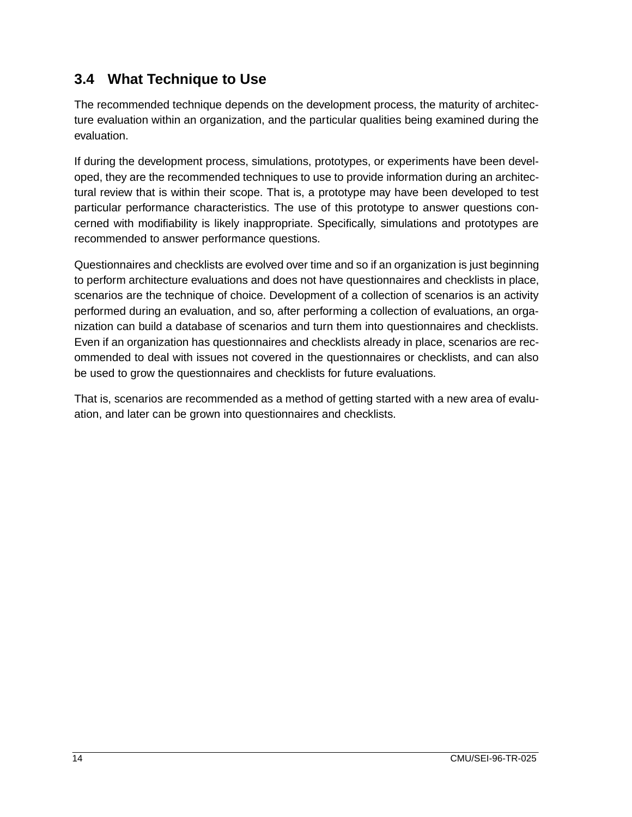## <span id="page-23-0"></span>**3.4 What Technique to Use**

The recommended technique depends on the development process, the maturity of architecture evaluation within an organization, and the particular qualities being examined during the evaluation.

If during the development process, simulations, prototypes, or experiments have been developed, they are the recommended techniques to use to provide information during an architectural review that is within their scope. That is, a prototype may have been developed to test particular performance characteristics. The use of this prototype to answer questions concerned with modifiability is likely inappropriate. Specifically, simulations and prototypes are recommended to answer performance questions.

Questionnaires and checklists are evolved over time and so if an organization is just beginning to perform architecture evaluations and does not have questionnaires and checklists in place, scenarios are the technique of choice. Development of a collection of scenarios is an activity performed during an evaluation, and so, after performing a collection of evaluations, an organization can build a database of scenarios and turn them into questionnaires and checklists. Even if an organization has questionnaires and checklists already in place, scenarios are recommended to deal with issues not covered in the questionnaires or checklists, and can also be used to grow the questionnaires and checklists for future evaluations.

That is, scenarios are recommended as a method of getting started with a new area of evaluation, and later can be grown into questionnaires and checklists.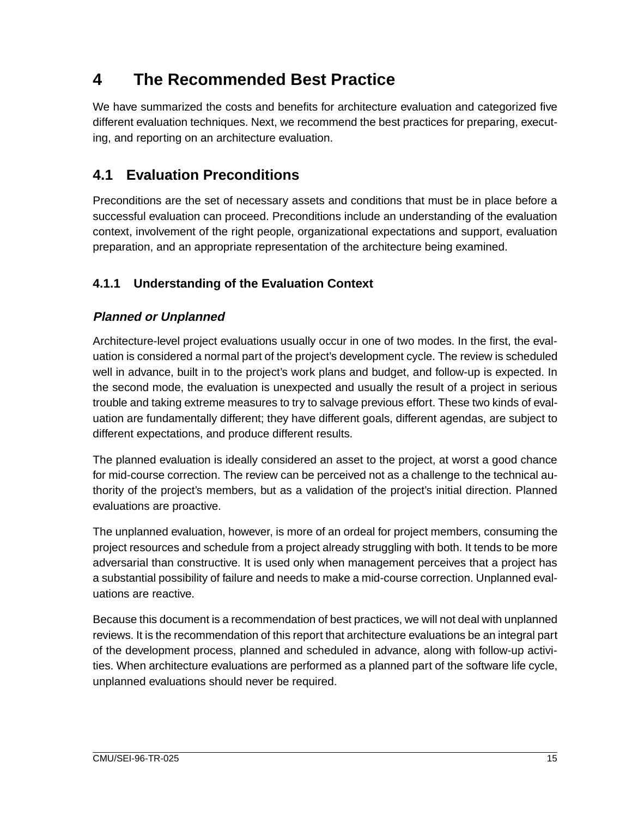# <span id="page-24-0"></span>**4 The Recommended Best Practice**

We have summarized the costs and benefits for architecture evaluation and categorized five different evaluation techniques. Next, we recommend the best practices for preparing, executing, and reporting on an architecture evaluation.

## **4.1 Evaluation Preconditions**

Preconditions are the set of necessary assets and conditions that must be in place before a successful evaluation can proceed. Preconditions include an understanding of the evaluation context, involvement of the right people, organizational expectations and support, evaluation preparation, and an appropriate representation of the architecture being examined.

### **4.1.1 Understanding of the Evaluation Context**

#### **Planned or Unplanned**

Architecture-level project evaluations usually occur in one of two modes. In the first, the evaluation is considered a normal part of the project's development cycle. The review is scheduled well in advance, built in to the project's work plans and budget, and follow-up is expected. In the second mode, the evaluation is unexpected and usually the result of a project in serious trouble and taking extreme measures to try to salvage previous effort. These two kinds of evaluation are fundamentally different; they have different goals, different agendas, are subject to different expectations, and produce different results.

The planned evaluation is ideally considered an asset to the project, at worst a good chance for mid-course correction. The review can be perceived not as a challenge to the technical authority of the project's members, but as a validation of the project's initial direction. Planned evaluations are proactive.

The unplanned evaluation, however, is more of an ordeal for project members, consuming the project resources and schedule from a project already struggling with both. It tends to be more adversarial than constructive. It is used only when management perceives that a project has a substantial possibility of failure and needs to make a mid-course correction. Unplanned evaluations are reactive.

Because this document is a recommendation of best practices, we will not deal with unplanned reviews. It is the recommendation of this report that architecture evaluations be an integral part of the development process, planned and scheduled in advance, along with follow-up activities. When architecture evaluations are performed as a planned part of the software life cycle, unplanned evaluations should never be required.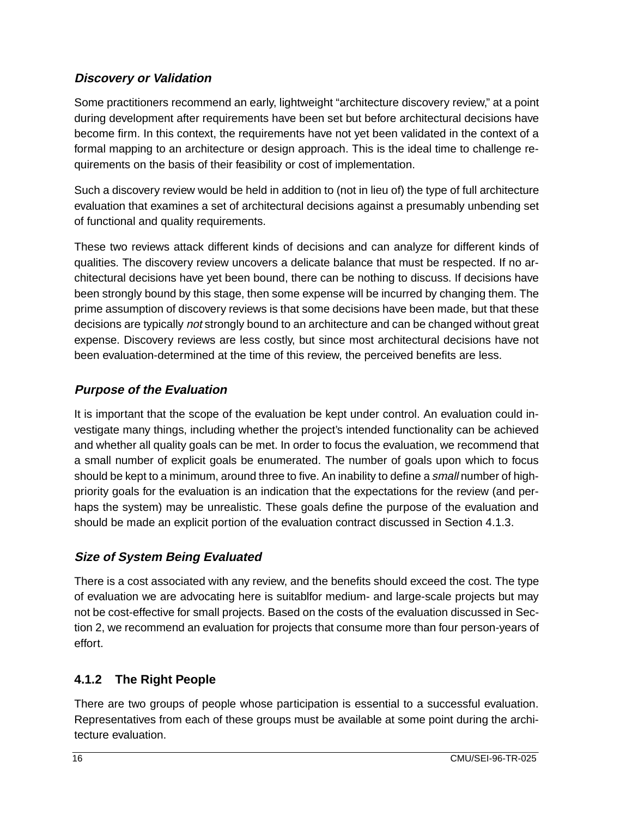#### <span id="page-25-0"></span>**Discovery or Validation**

Some practitioners recommend an early, lightweight "architecture discovery review," at a point during development after requirements have been set but before architectural decisions have become firm. In this context, the requirements have not yet been validated in the context of a formal mapping to an architecture or design approach. This is the ideal time to challenge requirements on the basis of their feasibility or cost of implementation.

Such a discovery review would be held in addition to (not in lieu of) the type of full architecture evaluation that examines a set of architectural decisions against a presumably unbending set of functional and quality requirements.

These two reviews attack different kinds of decisions and can analyze for different kinds of qualities. The discovery review uncovers a delicate balance that must be respected. If no architectural decisions have yet been bound, there can be nothing to discuss. If decisions have been strongly bound by this stage, then some expense will be incurred by changing them. The prime assumption of discovery reviews is that some decisions have been made, but that these decisions are typically not strongly bound to an architecture and can be changed without great expense. Discovery reviews are less costly, but since most architectural decisions have not been evaluation-determined at the time of this review, the perceived benefits are less.

#### **Purpose of the Evaluation**

It is important that the scope of the evaluation be kept under control. An evaluation could investigate many things, including whether the project's intended functionality can be achieved and whether all quality goals can be met. In order to focus the evaluation, we recommend that a small number of explicit goals be enumerated. The number of goals upon which to focus should be kept to a minimum, around three to five. An inability to define a small number of highpriority goals for the evaluation is an indication that the expectations for the review (and perhaps the system) may be unrealistic. These goals define the purpose of the evaluation and should be made an explicit portion of the evaluation contract discussed in Section 4.1.3.

#### **Size of System Being Evaluated**

There is a cost associated with any review, and the benefits should exceed the cost. The type of evaluation we are advocating here is suitablfor medium- and large-scale projects but may not be cost-effective for small projects. Based on the costs of the evaluation discussed in [Sec](#page-14-0)[tion 2](#page-14-0), we recommend an evaluation for projects that consume more than four person-years of effort.

### **4.1.2 The Right People**

There are two groups of people whose participation is essential to a successful evaluation. Representatives from each of these groups must be available at some point during the architecture evaluation.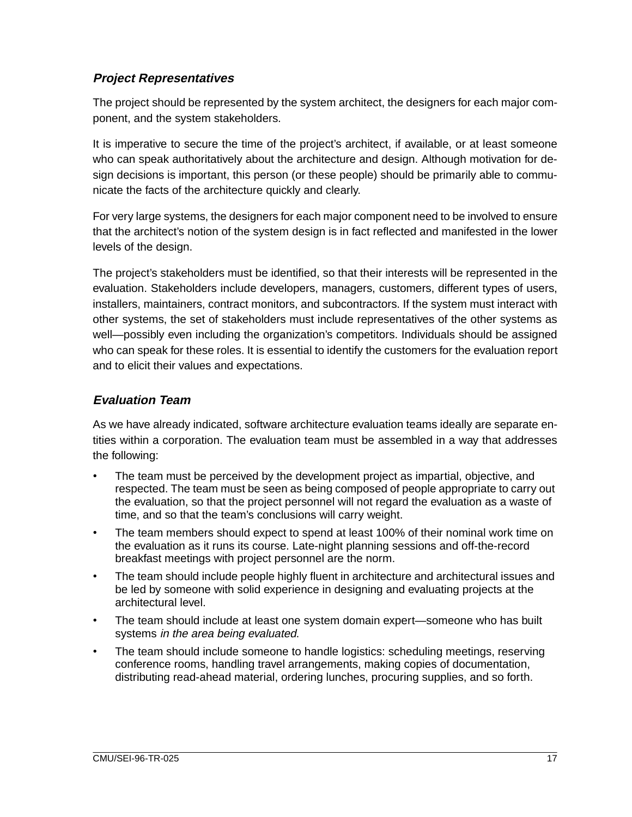#### **Project Representatives**

The project should be represented by the system architect, the designers for each major component, and the system stakeholders.

It is imperative to secure the time of the project's architect, if available, or at least someone who can speak authoritatively about the architecture and design. Although motivation for design decisions is important, this person (or these people) should be primarily able to communicate the facts of the architecture quickly and clearly.

For very large systems, the designers for each major component need to be involved to ensure that the architect's notion of the system design is in fact reflected and manifested in the lower levels of the design.

The project's stakeholders must be identified, so that their interests will be represented in the evaluation. Stakeholders include developers, managers, customers, different types of users, installers, maintainers, contract monitors, and subcontractors. If the system must interact with other systems, the set of stakeholders must include representatives of the other systems as well—possibly even including the organization's competitors. Individuals should be assigned who can speak for these roles. It is essential to identify the customers for the evaluation report and to elicit their values and expectations.

#### **Evaluation Team**

As we have already indicated, software architecture evaluation teams ideally are separate entities within a corporation. The evaluation team must be assembled in a way that addresses the following:

- The team must be perceived by the development project as impartial, objective, and respected. The team must be seen as being composed of people appropriate to carry out the evaluation, so that the project personnel will not regard the evaluation as a waste of time, and so that the team's conclusions will carry weight.
- The team members should expect to spend at least 100% of their nominal work time on the evaluation as it runs its course. Late-night planning sessions and off-the-record breakfast meetings with project personnel are the norm.
- The team should include people highly fluent in architecture and architectural issues and be led by someone with solid experience in designing and evaluating projects at the architectural level.
- The team should include at least one system domain expert—someone who has built systems in the area being evaluated.
- The team should include someone to handle logistics: scheduling meetings, reserving conference rooms, handling travel arrangements, making copies of documentation, distributing read-ahead material, ordering lunches, procuring supplies, and so forth.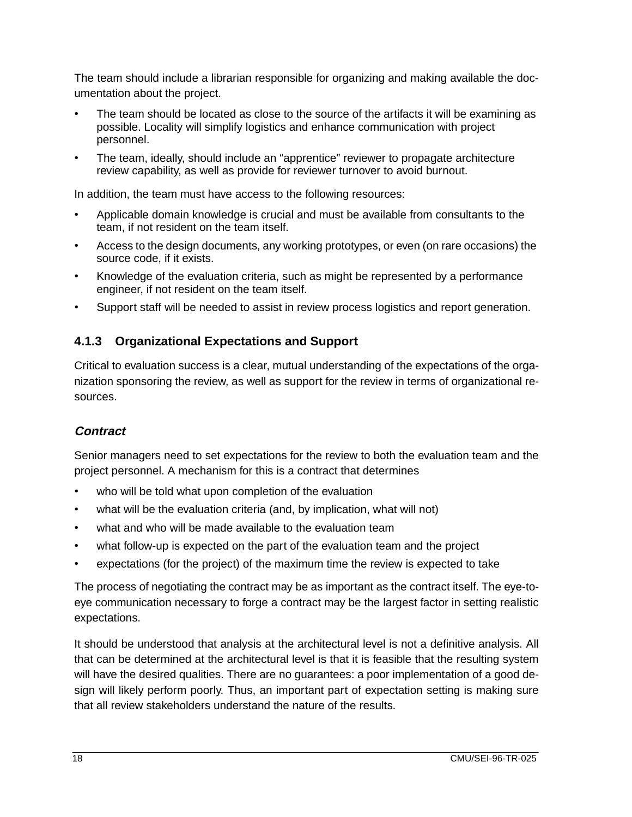<span id="page-27-0"></span>The team should include a librarian responsible for organizing and making available the documentation about the project.

- The team should be located as close to the source of the artifacts it will be examining as possible. Locality will simplify logistics and enhance communication with project personnel.
- The team, ideally, should include an "apprentice" reviewer to propagate architecture review capability, as well as provide for reviewer turnover to avoid burnout.

In addition, the team must have access to the following resources:

- Applicable domain knowledge is crucial and must be available from consultants to the team, if not resident on the team itself.
- Access to the design documents, any working prototypes, or even (on rare occasions) the source code, if it exists.
- Knowledge of the evaluation criteria, such as might be represented by a performance engineer, if not resident on the team itself.
- Support staff will be needed to assist in review process logistics and report generation.

#### **4.1.3 Organizational Expectations and Support**

Critical to evaluation success is a clear, mutual understanding of the expectations of the organization sponsoring the review, as well as support for the review in terms of organizational resources.

#### **Contract**

Senior managers need to set expectations for the review to both the evaluation team and the project personnel. A mechanism for this is a contract that determines

- who will be told what upon completion of the evaluation
- what will be the evaluation criteria (and, by implication, what will not)
- what and who will be made available to the evaluation team
- what follow-up is expected on the part of the evaluation team and the project
- expectations (for the project) of the maximum time the review is expected to take

The process of negotiating the contract may be as important as the contract itself. The eye-toeye communication necessary to forge a contract may be the largest factor in setting realistic expectations.

It should be understood that analysis at the architectural level is not a definitive analysis. All that can be determined at the architectural level is that it is feasible that the resulting system will have the desired qualities. There are no guarantees: a poor implementation of a good design will likely perform poorly. Thus, an important part of expectation setting is making sure that all review stakeholders understand the nature of the results.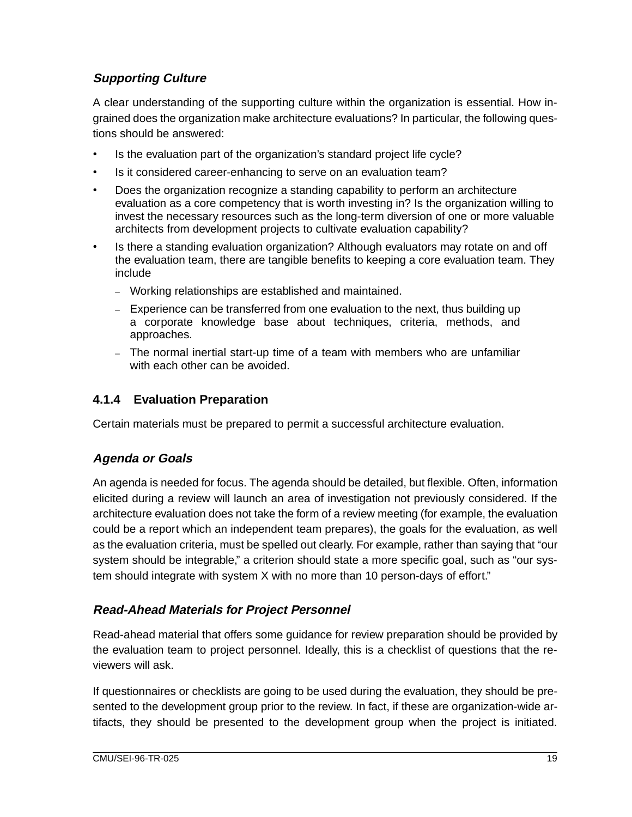### <span id="page-28-0"></span>**Supporting Culture**

A clear understanding of the supporting culture within the organization is essential. How ingrained does the organization make architecture evaluations? In particular, the following questions should be answered:

- Is the evaluation part of the organization's standard project life cycle?
- Is it considered career-enhancing to serve on an evaluation team?
- Does the organization recognize a standing capability to perform an architecture evaluation as a core competency that is worth investing in? Is the organization willing to invest the necessary resources such as the long-term diversion of one or more valuable architects from development projects to cultivate evaluation capability?
- Is there a standing evaluation organization? Although evaluators may rotate on and off the evaluation team, there are tangible benefits to keeping a core evaluation team. They include
	- Working relationships are established and maintained.
	- Experience can be transferred from one evaluation to the next, thus building up a corporate knowledge base about techniques, criteria, methods, and approaches.
	- The normal inertial start-up time of a team with members who are unfamiliar with each other can be avoided.

#### **4.1.4 Evaluation Preparation**

Certain materials must be prepared to permit a successful architecture evaluation.

#### **Agenda or Goals**

An agenda is needed for focus. The agenda should be detailed, but flexible. Often, information elicited during a review will launch an area of investigation not previously considered. If the architecture evaluation does not take the form of a review meeting (for example, the evaluation could be a report which an independent team prepares), the goals for the evaluation, as well as the evaluation criteria, must be spelled out clearly. For example, rather than saying that "our system should be integrable," a criterion should state a more specific goal, such as "our system should integrate with system X with no more than 10 person-days of effort."

#### **Read-Ahead Materials for Project Personnel**

Read-ahead material that offers some guidance for review preparation should be provided by the evaluation team to project personnel. Ideally, this is a checklist of questions that the reviewers will ask.

If questionnaires or checklists are going to be used during the evaluation, they should be presented to the development group prior to the review. In fact, if these are organization-wide artifacts, they should be presented to the development group when the project is initiated.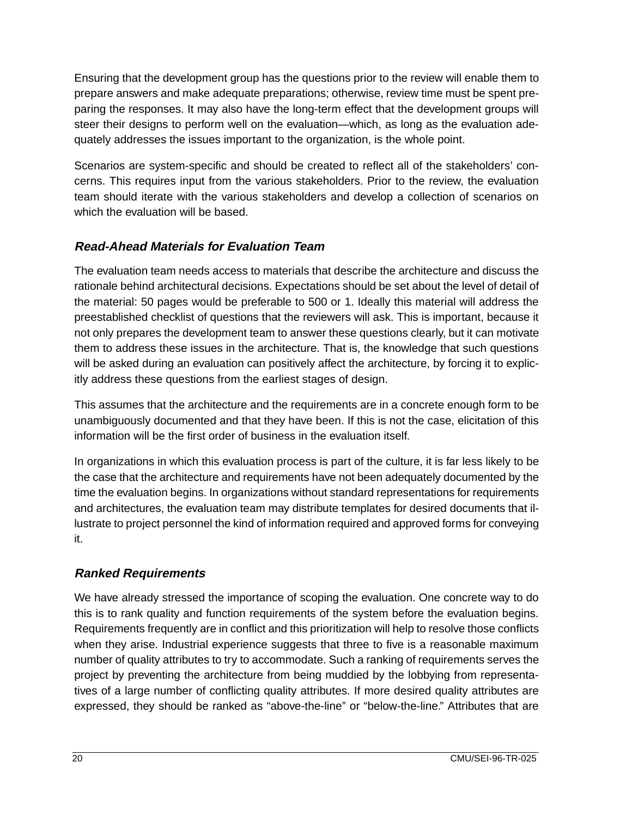Ensuring that the development group has the questions prior to the review will enable them to prepare answers and make adequate preparations; otherwise, review time must be spent preparing the responses. It may also have the long-term effect that the development groups will steer their designs to perform well on the evaluation—which, as long as the evaluation adequately addresses the issues important to the organization, is the whole point.

Scenarios are system-specific and should be created to reflect all of the stakeholders' concerns. This requires input from the various stakeholders. Prior to the review, the evaluation team should iterate with the various stakeholders and develop a collection of scenarios on which the evaluation will be based.

#### **Read-Ahead Materials for Evaluation Team**

The evaluation team needs access to materials that describe the architecture and discuss the rationale behind architectural decisions. Expectations should be set about the level of detail of the material: 50 pages would be preferable to 500 or 1. Ideally this material will address the preestablished checklist of questions that the reviewers will ask. This is important, because it not only prepares the development team to answer these questions clearly, but it can motivate them to address these issues in the architecture. That is, the knowledge that such questions will be asked during an evaluation can positively affect the architecture, by forcing it to explicitly address these questions from the earliest stages of design.

This assumes that the architecture and the requirements are in a concrete enough form to be unambiguously documented and that they have been. If this is not the case, elicitation of this information will be the first order of business in the evaluation itself.

In organizations in which this evaluation process is part of the culture, it is far less likely to be the case that the architecture and requirements have not been adequately documented by the time the evaluation begins. In organizations without standard representations for requirements and architectures, the evaluation team may distribute templates for desired documents that illustrate to project personnel the kind of information required and approved forms for conveying it.

#### **Ranked Requirements**

We have already stressed the importance of scoping the evaluation. One concrete way to do this is to rank quality and function requirements of the system before the evaluation begins. Requirements frequently are in conflict and this prioritization will help to resolve those conflicts when they arise. Industrial experience suggests that three to five is a reasonable maximum number of quality attributes to try to accommodate. Such a ranking of requirements serves the project by preventing the architecture from being muddied by the lobbying from representatives of a large number of conflicting quality attributes. If more desired quality attributes are expressed, they should be ranked as "above-the-line" or "below-the-line." Attributes that are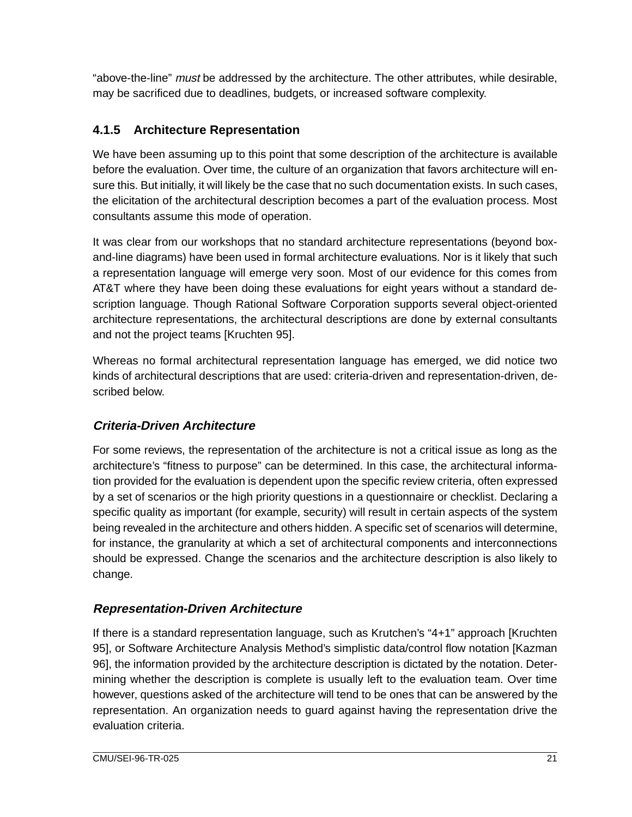<span id="page-30-0"></span>"above-the-line" must be addressed by the architecture. The other attributes, while desirable, may be sacrificed due to deadlines, budgets, or increased software complexity.

#### **4.1.5 Architecture Representation**

We have been assuming up to this point that some description of the architecture is available before the evaluation. Over time, the culture of an organization that favors architecture will ensure this. But initially, it will likely be the case that no such documentation exists. In such cases, the elicitation of the architectural description becomes a part of the evaluation process. Most consultants assume this mode of operation.

It was clear from our workshops that no standard architecture representations (beyond boxand-line diagrams) have been used in formal architecture evaluations. Nor is it likely that such a representation language will emerge very soon. Most of our evidence for this comes from AT&T where they have been doing these evaluations for eight years without a standard description language. Though Rational Software Corporation supports several object-oriented architecture representations, the architectural descriptions are done by external consultants and not the project teams [Kruchten 95].

Whereas no formal architectural representation language has emerged, we did notice two kinds of architectural descriptions that are used: criteria-driven and representation-driven, described below.

#### **Criteria-Driven Architecture**

For some reviews, the representation of the architecture is not a critical issue as long as the architecture's "fitness to purpose" can be determined. In this case, the architectural information provided for the evaluation is dependent upon the specific review criteria, often expressed by a set of scenarios or the high priority questions in a questionnaire or checklist. Declaring a specific quality as important (for example, security) will result in certain aspects of the system being revealed in the architecture and others hidden. A specific set of scenarios will determine, for instance, the granularity at which a set of architectural components and interconnections should be expressed. Change the scenarios and the architecture description is also likely to change.

#### **Representation-Driven Architecture**

If there is a standard representation language, such as Krutchen's "4+1" approach [Kruchten 95], or Software Architecture Analysis Method's simplistic data/control flow notation [Kazman 96], the information provided by the architecture description is dictated by the notation. Determining whether the description is complete is usually left to the evaluation team. Over time however, questions asked of the architecture will tend to be ones that can be answered by the representation. An organization needs to guard against having the representation drive the evaluation criteria.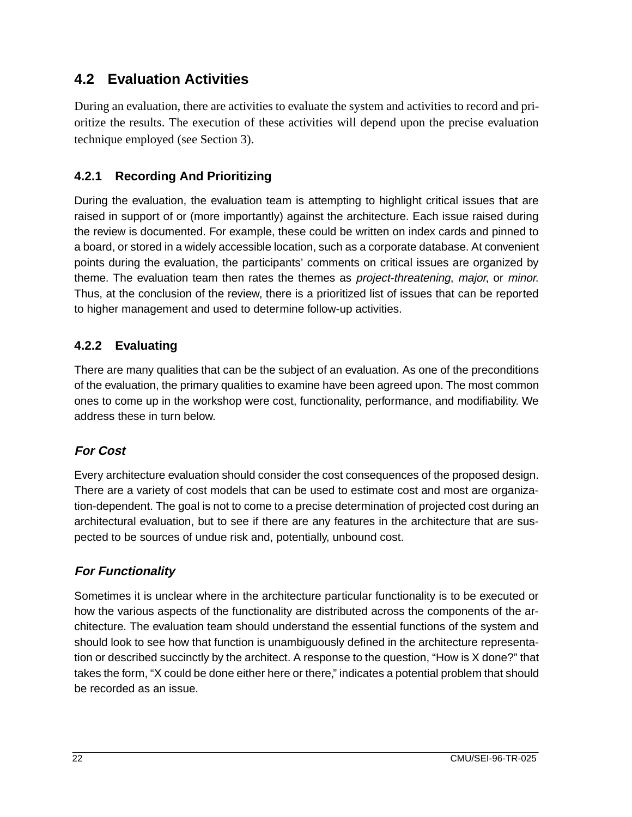## <span id="page-31-0"></span>**4.2 Evaluation Activities**

During an evaluation, there are activities to evaluate the system and activities to record and prioritize the results. The execution of these activities will depend upon the precise evaluation technique employed (see Section 3).

#### **4.2.1 Recording And Prioritizing**

During the evaluation, the evaluation team is attempting to highlight critical issues that are raised in support of or (more importantly) against the architecture. Each issue raised during the review is documented. For example, these could be written on index cards and pinned to a board, or stored in a widely accessible location, such as a corporate database. At convenient points during the evaluation, the participants' comments on critical issues are organized by theme. The evaluation team then rates the themes as *project-threatening, major, or minor.* Thus, at the conclusion of the review, there is a prioritized list of issues that can be reported to higher management and used to determine follow-up activities.

#### **4.2.2 Evaluating**

There are many qualities that can be the subject of an evaluation. As one of the preconditions of the evaluation, the primary qualities to examine have been agreed upon. The most common ones to come up in the workshop were cost, functionality, performance, and modifiability. We address these in turn below.

#### **For Cost**

Every architecture evaluation should consider the cost consequences of the proposed design. There are a variety of cost models that can be used to estimate cost and most are organization-dependent. The goal is not to come to a precise determination of projected cost during an architectural evaluation, but to see if there are any features in the architecture that are suspected to be sources of undue risk and, potentially, unbound cost.

#### **For Functionality**

Sometimes it is unclear where in the architecture particular functionality is to be executed or how the various aspects of the functionality are distributed across the components of the architecture. The evaluation team should understand the essential functions of the system and should look to see how that function is unambiguously defined in the architecture representation or described succinctly by the architect. A response to the question, "How is X done?" that takes the form, "X could be done either here or there," indicates a potential problem that should be recorded as an issue.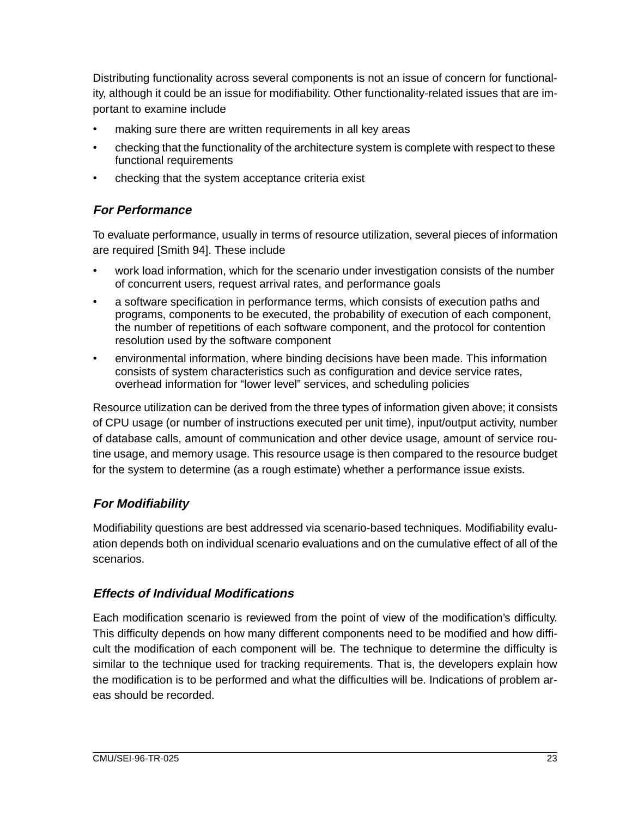Distributing functionality across several components is not an issue of concern for functionality, although it could be an issue for modifiability. Other functionality-related issues that are important to examine include

- making sure there are written requirements in all key areas
- checking that the functionality of the architecture system is complete with respect to these functional requirements
- checking that the system acceptance criteria exist

### **For Performance**

To evaluate performance, usually in terms of resource utilization, several pieces of information are required [Smith 94]. These include

- work load information, which for the scenario under investigation consists of the number of concurrent users, request arrival rates, and performance goals
- a software specification in performance terms, which consists of execution paths and programs, components to be executed, the probability of execution of each component, the number of repetitions of each software component, and the protocol for contention resolution used by the software component
- environmental information, where binding decisions have been made. This information consists of system characteristics such as configuration and device service rates, overhead information for "lower level" services, and scheduling policies

Resource utilization can be derived from the three types of information given above; it consists of CPU usage (or number of instructions executed per unit time), input/output activity, number of database calls, amount of communication and other device usage, amount of service routine usage, and memory usage. This resource usage is then compared to the resource budget for the system to determine (as a rough estimate) whether a performance issue exists.

### **For Modifiability**

Modifiability questions are best addressed via scenario-based techniques. Modifiability evaluation depends both on individual scenario evaluations and on the cumulative effect of all of the scenarios.

### **Effects of Individual Modifications**

Each modification scenario is reviewed from the point of view of the modification's difficulty. This difficulty depends on how many different components need to be modified and how difficult the modification of each component will be. The technique to determine the difficulty is similar to the technique used for tracking requirements. That is, the developers explain how the modification is to be performed and what the difficulties will be. Indications of problem areas should be recorded.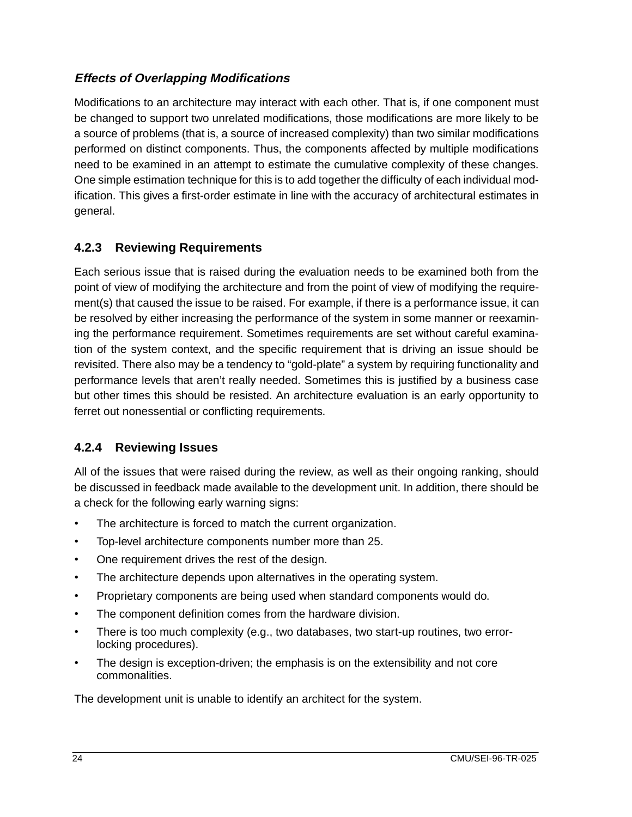#### <span id="page-33-0"></span>**Effects of Overlapping Modifications**

Modifications to an architecture may interact with each other. That is, if one component must be changed to support two unrelated modifications, those modifications are more likely to be a source of problems (that is, a source of increased complexity) than two similar modifications performed on distinct components. Thus, the components affected by multiple modifications need to be examined in an attempt to estimate the cumulative complexity of these changes. One simple estimation technique for this is to add together the difficulty of each individual modification. This gives a first-order estimate in line with the accuracy of architectural estimates in general.

#### **4.2.3 Reviewing Requirements**

Each serious issue that is raised during the evaluation needs to be examined both from the point of view of modifying the architecture and from the point of view of modifying the requirement(s) that caused the issue to be raised. For example, if there is a performance issue, it can be resolved by either increasing the performance of the system in some manner or reexamining the performance requirement. Sometimes requirements are set without careful examination of the system context, and the specific requirement that is driving an issue should be revisited. There also may be a tendency to "gold-plate" a system by requiring functionality and performance levels that aren't really needed. Sometimes this is justified by a business case but other times this should be resisted. An architecture evaluation is an early opportunity to ferret out nonessential or conflicting requirements.

#### **4.2.4 Reviewing Issues**

All of the issues that were raised during the review, as well as their ongoing ranking, should be discussed in feedback made available to the development unit. In addition, there should be a check for the following early warning signs:

- The architecture is forced to match the current organization.
- Top-level architecture components number more than 25.
- One requirement drives the rest of the design.
- The architecture depends upon alternatives in the operating system.
- Proprietary components are being used when standard components would do.
- The component definition comes from the hardware division.
- There is too much complexity (e.g., two databases, two start-up routines, two errorlocking procedures).
- The design is exception-driven; the emphasis is on the extensibility and not core commonalities.

The development unit is unable to identify an architect for the system.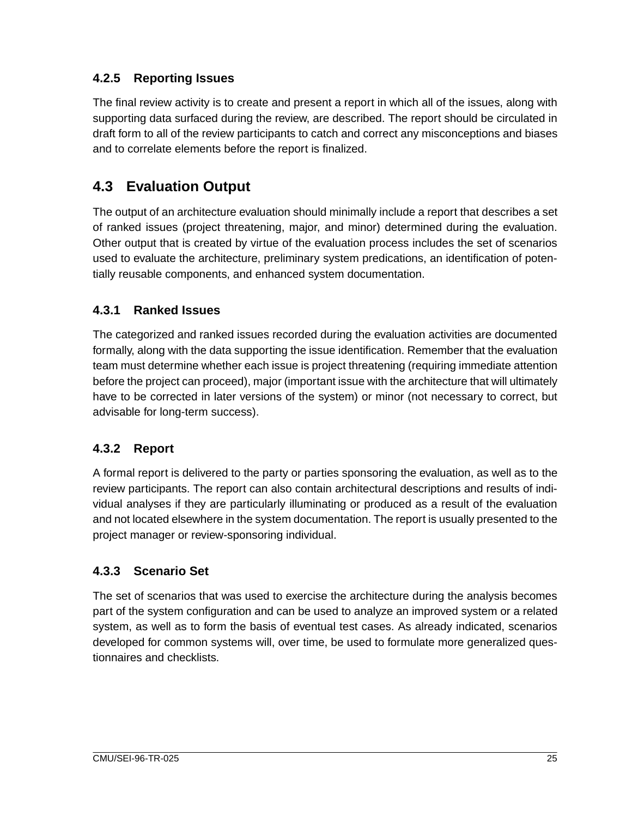### <span id="page-34-0"></span>**4.2.5 Reporting Issues**

The final review activity is to create and present a report in which all of the issues, along with supporting data surfaced during the review, are described. The report should be circulated in draft form to all of the review participants to catch and correct any misconceptions and biases and to correlate elements before the report is finalized.

## **4.3 Evaluation Output**

The output of an architecture evaluation should minimally include a report that describes a set of ranked issues (project threatening, major, and minor) determined during the evaluation. Other output that is created by virtue of the evaluation process includes the set of scenarios used to evaluate the architecture, preliminary system predications, an identification of potentially reusable components, and enhanced system documentation.

#### **4.3.1 Ranked Issues**

The categorized and ranked issues recorded during the evaluation activities are documented formally, along with the data supporting the issue identification. Remember that the evaluation team must determine whether each issue is project threatening (requiring immediate attention before the project can proceed), major (important issue with the architecture that will ultimately have to be corrected in later versions of the system) or minor (not necessary to correct, but advisable for long-term success).

#### **4.3.2 Report**

A formal report is delivered to the party or parties sponsoring the evaluation, as well as to the review participants. The report can also contain architectural descriptions and results of individual analyses if they are particularly illuminating or produced as a result of the evaluation and not located elsewhere in the system documentation. The report is usually presented to the project manager or review-sponsoring individual.

#### **4.3.3 Scenario Set**

The set of scenarios that was used to exercise the architecture during the analysis becomes part of the system configuration and can be used to analyze an improved system or a related system, as well as to form the basis of eventual test cases. As already indicated, scenarios developed for common systems will, over time, be used to formulate more generalized questionnaires and checklists.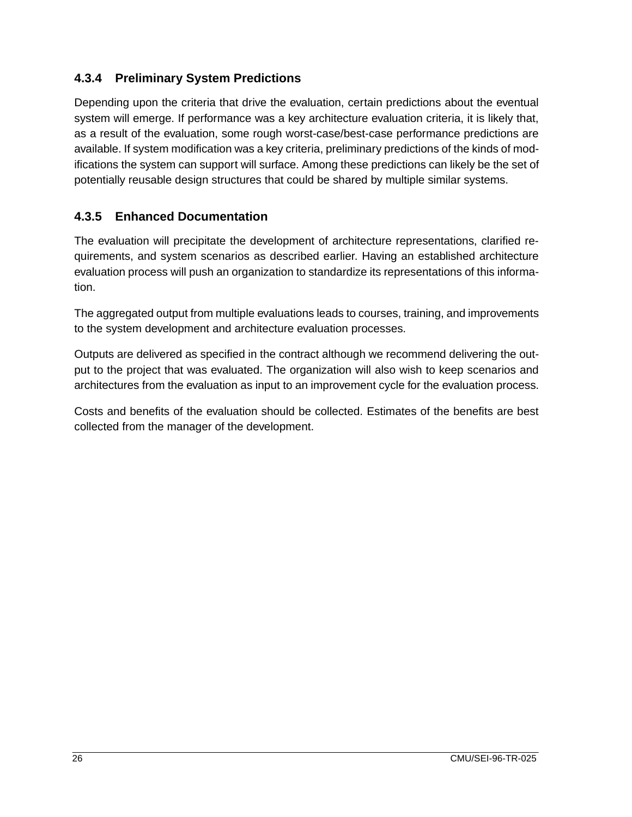#### <span id="page-35-0"></span>**4.3.4 Preliminary System Predictions**

Depending upon the criteria that drive the evaluation, certain predictions about the eventual system will emerge. If performance was a key architecture evaluation criteria, it is likely that, as a result of the evaluation, some rough worst-case/best-case performance predictions are available. If system modification was a key criteria, preliminary predictions of the kinds of modifications the system can support will surface. Among these predictions can likely be the set of potentially reusable design structures that could be shared by multiple similar systems.

#### **4.3.5 Enhanced Documentation**

The evaluation will precipitate the development of architecture representations, clarified requirements, and system scenarios as described earlier. Having an established architecture evaluation process will push an organization to standardize its representations of this information.

The aggregated output from multiple evaluations leads to courses, training, and improvements to the system development and architecture evaluation processes.

Outputs are delivered as specified in the contract although we recommend delivering the output to the project that was evaluated. The organization will also wish to keep scenarios and architectures from the evaluation as input to an improvement cycle for the evaluation process.

Costs and benefits of the evaluation should be collected. Estimates of the benefits are best collected from the manager of the development.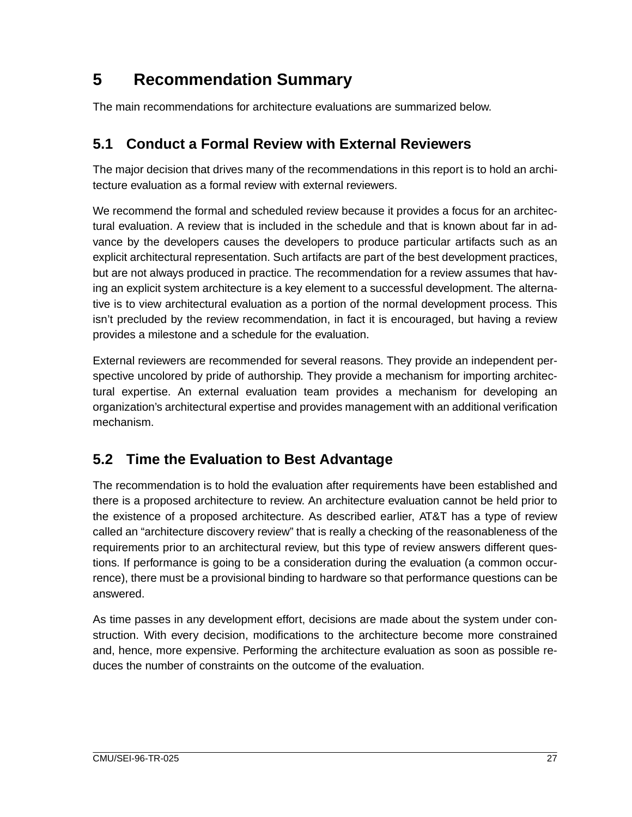# <span id="page-36-0"></span>**5 Recommendation Summary**

The main recommendations for architecture evaluations are summarized below.

### **5.1 Conduct a Formal Review with External Reviewers**

The major decision that drives many of the recommendations in this report is to hold an architecture evaluation as a formal review with external reviewers.

We recommend the formal and scheduled review because it provides a focus for an architectural evaluation. A review that is included in the schedule and that is known about far in advance by the developers causes the developers to produce particular artifacts such as an explicit architectural representation. Such artifacts are part of the best development practices, but are not always produced in practice. The recommendation for a review assumes that having an explicit system architecture is a key element to a successful development. The alternative is to view architectural evaluation as a portion of the normal development process. This isn't precluded by the review recommendation, in fact it is encouraged, but having a review provides a milestone and a schedule for the evaluation.

External reviewers are recommended for several reasons. They provide an independent perspective uncolored by pride of authorship. They provide a mechanism for importing architectural expertise. An external evaluation team provides a mechanism for developing an organization's architectural expertise and provides management with an additional verification mechanism.

## **5.2 Time the Evaluation to Best Advantage**

The recommendation is to hold the evaluation after requirements have been established and there is a proposed architecture to review. An architecture evaluation cannot be held prior to the existence of a proposed architecture. As described earlier, AT&T has a type of review called an "architecture discovery review" that is really a checking of the reasonableness of the requirements prior to an architectural review, but this type of review answers different questions. If performance is going to be a consideration during the evaluation (a common occurrence), there must be a provisional binding to hardware so that performance questions can be answered.

As time passes in any development effort, decisions are made about the system under construction. With every decision, modifications to the architecture become more constrained and, hence, more expensive. Performing the architecture evaluation as soon as possible reduces the number of constraints on the outcome of the evaluation.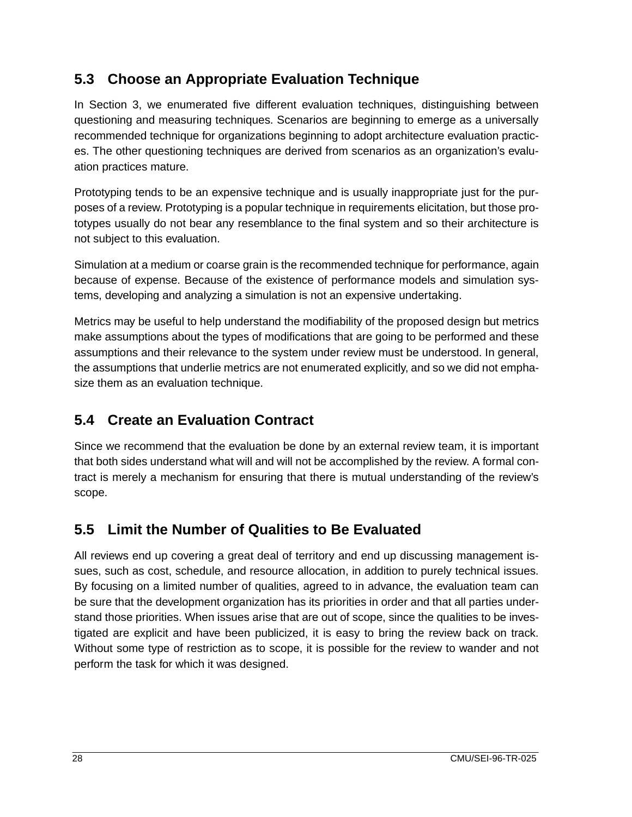## <span id="page-37-0"></span>**5.3 Choose an Appropriate Evaluation Technique**

In [Section 3](#page-18-0), we enumerated five different evaluation techniques, distinguishing between questioning and measuring techniques. Scenarios are beginning to emerge as a universally recommended technique for organizations beginning to adopt architecture evaluation practices. The other questioning techniques are derived from scenarios as an organization's evaluation practices mature.

Prototyping tends to be an expensive technique and is usually inappropriate just for the purposes of a review. Prototyping is a popular technique in requirements elicitation, but those prototypes usually do not bear any resemblance to the final system and so their architecture is not subject to this evaluation.

Simulation at a medium or coarse grain is the recommended technique for performance, again because of expense. Because of the existence of performance models and simulation systems, developing and analyzing a simulation is not an expensive undertaking.

Metrics may be useful to help understand the modifiability of the proposed design but metrics make assumptions about the types of modifications that are going to be performed and these assumptions and their relevance to the system under review must be understood. In general, the assumptions that underlie metrics are not enumerated explicitly, and so we did not emphasize them as an evaluation technique.

## **5.4 Create an Evaluation Contract**

Since we recommend that the evaluation be done by an external review team, it is important that both sides understand what will and will not be accomplished by the review. A formal contract is merely a mechanism for ensuring that there is mutual understanding of the review's scope.

### **5.5 Limit the Number of Qualities to Be Evaluated**

All reviews end up covering a great deal of territory and end up discussing management issues, such as cost, schedule, and resource allocation, in addition to purely technical issues. By focusing on a limited number of qualities, agreed to in advance, the evaluation team can be sure that the development organization has its priorities in order and that all parties understand those priorities. When issues arise that are out of scope, since the qualities to be investigated are explicit and have been publicized, it is easy to bring the review back on track. Without some type of restriction as to scope, it is possible for the review to wander and not perform the task for which it was designed.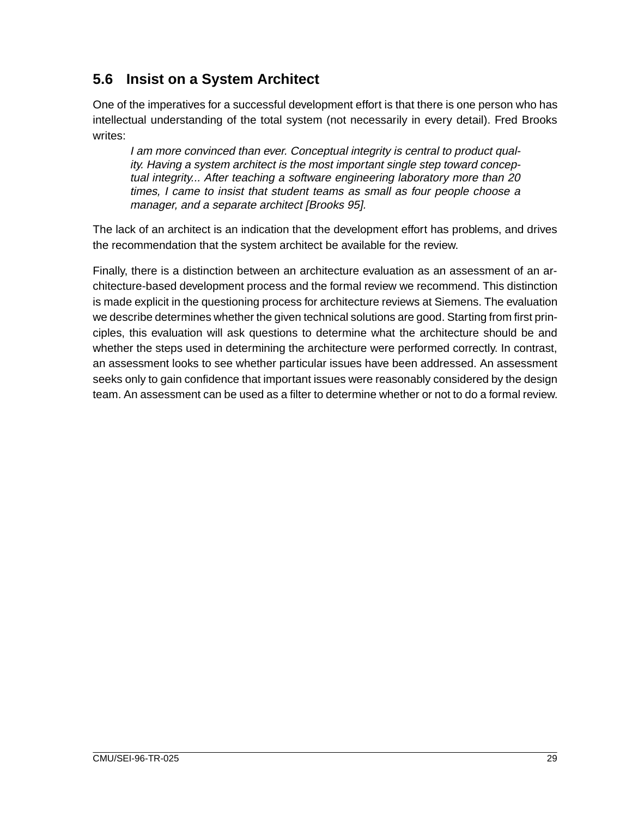## <span id="page-38-0"></span>**5.6 Insist on a System Architect**

One of the imperatives for a successful development effort is that there is one person who has intellectual understanding of the total system (not necessarily in every detail). Fred Brooks writes:

I am more convinced than ever. Conceptual integrity is central to product quality. Having a system architect is the most important single step toward conceptual integrity... After teaching a software engineering laboratory more than 20 times, I came to insist that student teams as small as four people choose a manager, and a separate architect [Brooks 95].

The lack of an architect is an indication that the development effort has problems, and drives the recommendation that the system architect be available for the review.

Finally, there is a distinction between an architecture evaluation as an assessment of an architecture-based development process and the formal review we recommend. This distinction is made explicit in the questioning process for architecture reviews at Siemens. The evaluation we describe determines whether the given technical solutions are good. Starting from first principles, this evaluation will ask questions to determine what the architecture should be and whether the steps used in determining the architecture were performed correctly. In contrast, an assessment looks to see whether particular issues have been addressed. An assessment seeks only to gain confidence that important issues were reasonably considered by the design team. An assessment can be used as a filter to determine whether or not to do a formal review.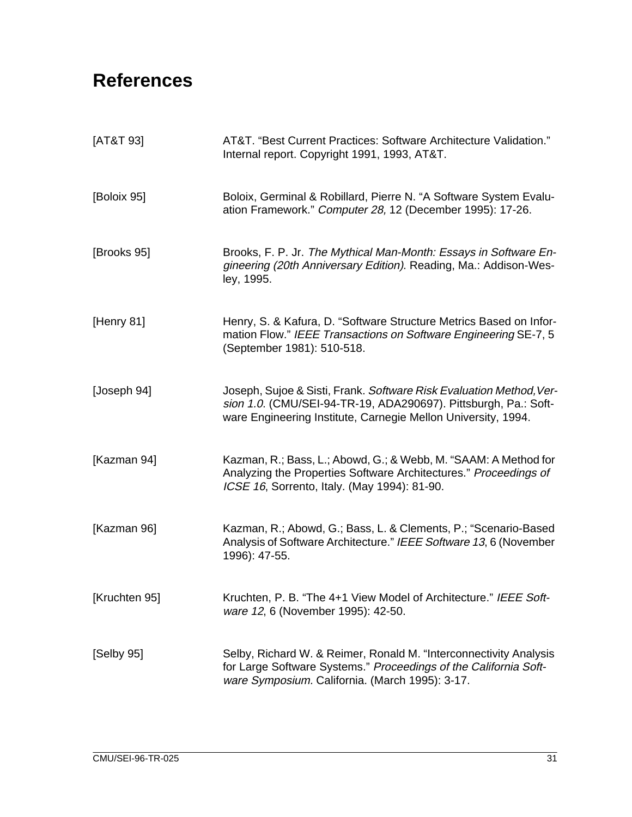# <span id="page-40-0"></span>**References**

| [AT&T 93]     | AT&T. "Best Current Practices: Software Architecture Validation."<br>Internal report. Copyright 1991, 1993, AT&T.                                                                                       |
|---------------|---------------------------------------------------------------------------------------------------------------------------------------------------------------------------------------------------------|
| [Boloix 95]   | Boloix, Germinal & Robillard, Pierre N. "A Software System Evalu-<br>ation Framework." Computer 28, 12 (December 1995): 17-26.                                                                          |
| [Brooks 95]   | Brooks, F. P. Jr. The Mythical Man-Month: Essays in Software En-<br>gineering (20th Anniversary Edition). Reading, Ma.: Addison-Wes-<br>ley, 1995.                                                      |
| [Henry 81]    | Henry, S. & Kafura, D. "Software Structure Metrics Based on Infor-<br>mation Flow." IEEE Transactions on Software Engineering SE-7, 5<br>(September 1981): 510-518.                                     |
| [Joseph 94]   | Joseph, Sujoe & Sisti, Frank. Software Risk Evaluation Method, Ver-<br>sion 1.0. (CMU/SEI-94-TR-19, ADA290697). Pittsburgh, Pa.: Soft-<br>ware Engineering Institute, Carnegie Mellon University, 1994. |
| [Kazman 94]   | Kazman, R.; Bass, L.; Abowd, G.; & Webb, M. "SAAM: A Method for<br>Analyzing the Properties Software Architectures." Proceedings of<br>ICSE 16, Sorrento, Italy. (May 1994): 81-90.                     |
| [Kazman 96]   | Kazman, R.; Abowd, G.; Bass, L. & Clements, P.; "Scenario-Based<br>Analysis of Software Architecture." IEEE Software 13, 6 (November<br>1996): 47-55.                                                   |
| [Kruchten 95] | Kruchten, P. B. "The 4+1 View Model of Architecture." IEEE Soft-<br>ware 12, 6 (November 1995): 42-50.                                                                                                  |
| [Selby 95]    | Selby, Richard W. & Reimer, Ronald M. "Interconnectivity Analysis<br>for Large Software Systems." Proceedings of the California Soft-<br>ware Symposium. California. (March 1995): 3-17.                |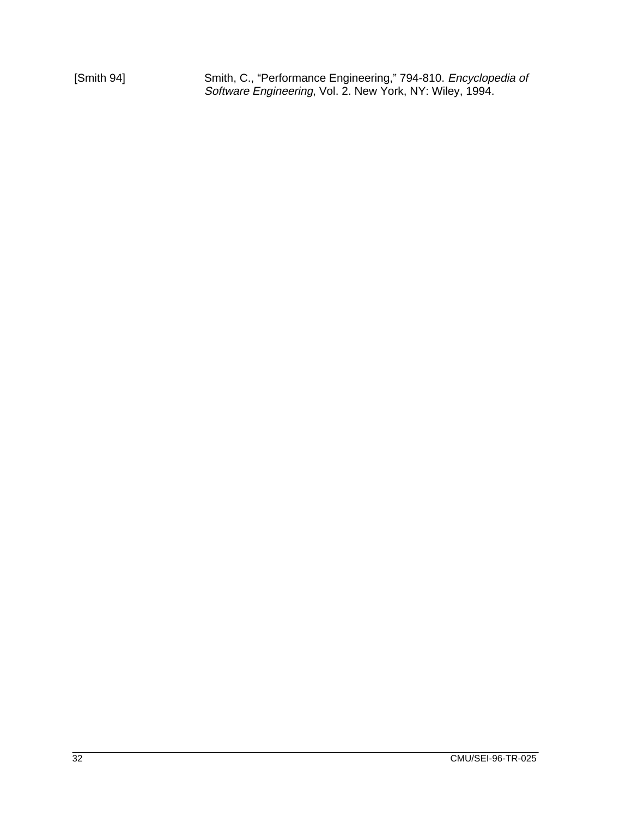[Smith 94] Smith, C., "Performance Engineering," 794-810. Encyclopedia of Software Engineering, Vol. 2. New York, NY: Wiley, 1994.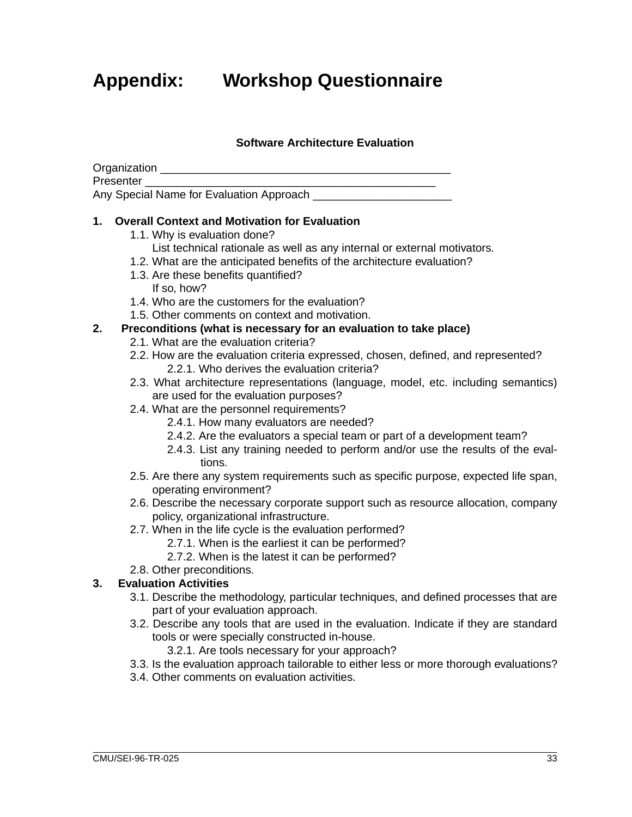# <span id="page-42-0"></span>**Appendix: Workshop Questionnaire**

#### **Software Architecture Evaluation**

Organization \_\_\_\_\_\_\_\_\_\_\_\_\_\_\_\_\_\_\_\_\_\_\_\_\_\_\_\_\_\_\_\_\_\_\_\_\_\_\_\_\_\_\_\_\_\_

Presenter

Any Special Name for Evaluation Approach

#### **1. Overall Context and Motivation for Evaluation**

- 1.1. Why is evaluation done?
	- List technical rationale as well as any internal or external motivators.
- 1.2. What are the anticipated benefits of the architecture evaluation?
- 1.3. Are these benefits quantified?

If so, how?

- 1.4. Who are the customers for the evaluation?
- 1.5. Other comments on context and motivation.

#### **2. Preconditions (what is necessary for an evaluation to take place)**

- 2.1. What are the evaluation criteria?
- 2.2. How are the evaluation criteria expressed, chosen, defined, and represented? 2.2.1. Who derives the evaluation criteria?
- 2.3. What architecture representations (language, model, etc. including semantics) are used for the evaluation purposes?
- 2.4. What are the personnel requirements?
	- 2.4.1. How many evaluators are needed?
	- 2.4.2. Are the evaluators a special team or part of a development team?
	- 2.4.3. List any training needed to perform and/or use the results of the evaltions.
- 2.5. Are there any system requirements such as specific purpose, expected life span, operating environment?
- 2.6. Describe the necessary corporate support such as resource allocation, company policy, organizational infrastructure.
- 2.7. When in the life cycle is the evaluation performed?
	- 2.7.1. When is the earliest it can be performed?
	- 2.7.2. When is the latest it can be performed?
- 2.8. Other preconditions.

#### **3. Evaluation Activities**

- 3.1. Describe the methodology, particular techniques, and defined processes that are part of your evaluation approach.
- 3.2. Describe any tools that are used in the evaluation. Indicate if they are standard tools or were specially constructed in-house.
	- 3.2.1. Are tools necessary for your approach?
- 3.3. Is the evaluation approach tailorable to either less or more thorough evaluations?
- 3.4. Other comments on evaluation activities.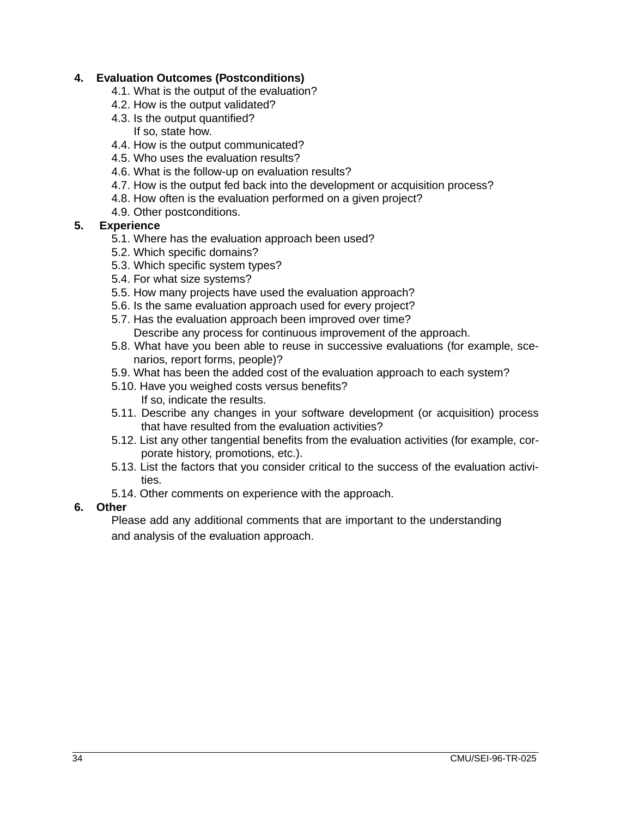#### **4. Evaluation Outcomes (Postconditions)**

- 4.1. What is the output of the evaluation?
- 4.2. How is the output validated?
- 4.3. Is the output quantified? If so, state how.
- 4.4. How is the output communicated?
- 4.5. Who uses the evaluation results?
- 4.6. What is the follow-up on evaluation results?
- 4.7. How is the output fed back into the development or acquisition process?
- 4.8. How often is the evaluation performed on a given project?
- 4.9. Other postconditions.

#### **5. Experience**

- 5.1. Where has the evaluation approach been used?
- 5.2. Which specific domains?
- 5.3. Which specific system types?
- 5.4. For what size systems?
- 5.5. How many projects have used the evaluation approach?
- 5.6. Is the same evaluation approach used for every project?
- 5.7. Has the evaluation approach been improved over time? Describe any process for continuous improvement of the approach.
- 5.8. What have you been able to reuse in successive evaluations (for example, scenarios, report forms, people)?
- 5.9. What has been the added cost of the evaluation approach to each system?
- 5.10. Have you weighed costs versus benefits? If so, indicate the results.
- 5.11. Describe any changes in your software development (or acquisition) process that have resulted from the evaluation activities?
- 5.12. List any other tangential benefits from the evaluation activities (for example, corporate history, promotions, etc.).
- 5.13. List the factors that you consider critical to the success of the evaluation activities.
- 5.14. Other comments on experience with the approach.

#### **6. Other**

Please add any additional comments that are important to the understanding and analysis of the evaluation approach.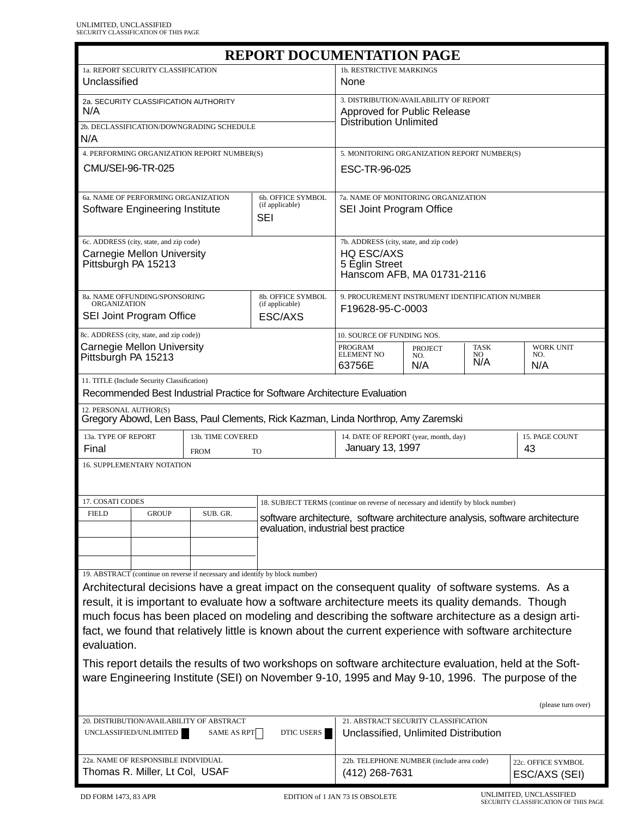|                                                                       |                                                                                                     |                                                                              | <b>REPORT DOCUMENTATION PAGE</b>                                                                                                                                                                          |                                                                                                              |                                           |                          |                                     |
|-----------------------------------------------------------------------|-----------------------------------------------------------------------------------------------------|------------------------------------------------------------------------------|-----------------------------------------------------------------------------------------------------------------------------------------------------------------------------------------------------------|--------------------------------------------------------------------------------------------------------------|-------------------------------------------|--------------------------|-------------------------------------|
| 1a. REPORT SECURITY CLASSIFICATION<br>Unclassified                    |                                                                                                     |                                                                              |                                                                                                                                                                                                           | <b>1b. RESTRICTIVE MARKINGS</b><br>None                                                                      |                                           |                          |                                     |
| N/A                                                                   | 2a. SECURITY CLASSIFICATION AUTHORITY                                                               |                                                                              |                                                                                                                                                                                                           | 3. DISTRIBUTION/AVAILABILITY OF REPORT<br>Approved for Public Release                                        |                                           |                          |                                     |
| N/A                                                                   |                                                                                                     | 2b. DECLASSIFICATION/DOWNGRADING SCHEDULE                                    |                                                                                                                                                                                                           | Distribution Unlimited                                                                                       |                                           |                          |                                     |
|                                                                       |                                                                                                     | 4. PERFORMING ORGANIZATION REPORT NUMBER(S)                                  |                                                                                                                                                                                                           | 5. MONITORING ORGANIZATION REPORT NUMBER(S)                                                                  |                                           |                          |                                     |
|                                                                       | CMU/SEI-96-TR-025                                                                                   |                                                                              |                                                                                                                                                                                                           | ESC-TR-96-025                                                                                                |                                           |                          |                                     |
|                                                                       | 6a. NAME OF PERFORMING ORGANIZATION<br>Software Engineering Institute                               |                                                                              | 6b. OFFICE SYMBOL<br>(if applicable)<br><b>SEI</b>                                                                                                                                                        | 7a. NAME OF MONITORING ORGANIZATION<br><b>SEI Joint Program Office</b>                                       |                                           |                          |                                     |
|                                                                       | 6c. ADDRESS (city, state, and zip code)<br><b>Carnegie Mellon University</b><br>Pittsburgh PA 15213 |                                                                              |                                                                                                                                                                                                           | 7b. ADDRESS (city, state, and zip code)<br><b>HQ ESC/AXS</b><br>5 Eglin Street<br>Hanscom AFB, MA 01731-2116 |                                           |                          |                                     |
| <b>ORGANIZATION</b>                                                   | 8a. NAME OFFUNDING/SPONSORING<br>SEI Joint Program Office                                           |                                                                              | 8b. OFFICE SYMBOL<br>(if applicable)<br>ESC/AXS                                                                                                                                                           | 9. PROCUREMENT INSTRUMENT IDENTIFICATION NUMBER<br>F19628-95-C-0003                                          |                                           |                          |                                     |
|                                                                       | 8c. ADDRESS (city, state, and zip code))                                                            |                                                                              |                                                                                                                                                                                                           | 10. SOURCE OF FUNDING NOS.                                                                                   |                                           |                          |                                     |
| Pittsburgh PA 15213                                                   | <b>Carnegie Mellon University</b>                                                                   |                                                                              |                                                                                                                                                                                                           | PROGRAM<br><b>ELEMENT NO</b><br>63756E                                                                       | <b>PROJECT</b><br>NO.<br>N/A              | <b>TASK</b><br>NO<br>N/A | <b>WORK UNIT</b><br>NO.<br>N/A      |
|                                                                       | 11. TITLE (Include Security Classification)                                                         |                                                                              |                                                                                                                                                                                                           |                                                                                                              |                                           |                          |                                     |
|                                                                       |                                                                                                     |                                                                              | Recommended Best Industrial Practice for Software Architecture Evaluation                                                                                                                                 |                                                                                                              |                                           |                          |                                     |
| 12. PERSONAL AUTHOR(S)                                                |                                                                                                     |                                                                              | Gregory Abowd, Len Bass, Paul Clements, Rick Kazman, Linda Northrop, Amy Zaremski                                                                                                                         |                                                                                                              |                                           |                          |                                     |
| 13a. TYPE OF REPORT                                                   |                                                                                                     | 13b. TIME COVERED                                                            |                                                                                                                                                                                                           | 14. DATE OF REPORT (year, month, day)                                                                        |                                           |                          | 15. PAGE COUNT                      |
| Final                                                                 |                                                                                                     | <b>FROM</b>                                                                  | TO                                                                                                                                                                                                        | January 13, 1997<br>43                                                                                       |                                           |                          |                                     |
|                                                                       | <b>16. SUPPLEMENTARY NOTATION</b>                                                                   |                                                                              |                                                                                                                                                                                                           |                                                                                                              |                                           |                          |                                     |
| 17. COSATI CODES                                                      |                                                                                                     |                                                                              | 18. SUBJECT TERMS (continue on reverse of necessary and identify by block number)                                                                                                                         |                                                                                                              |                                           |                          |                                     |
| <b>FIELD</b>                                                          | <b>GROUP</b>                                                                                        | SUB. GR.                                                                     | software architecture, software architecture analysis, software architecture                                                                                                                              |                                                                                                              |                                           |                          |                                     |
|                                                                       |                                                                                                     |                                                                              | evaluation, industrial best practice                                                                                                                                                                      |                                                                                                              |                                           |                          |                                     |
|                                                                       |                                                                                                     |                                                                              |                                                                                                                                                                                                           |                                                                                                              |                                           |                          |                                     |
|                                                                       |                                                                                                     |                                                                              |                                                                                                                                                                                                           |                                                                                                              |                                           |                          |                                     |
|                                                                       |                                                                                                     | 19. ABSTRACT (continue on reverse if necessary and identify by block number) |                                                                                                                                                                                                           |                                                                                                              |                                           |                          |                                     |
|                                                                       |                                                                                                     |                                                                              | Architectural decisions have a great impact on the consequent quality of software systems. As a                                                                                                           |                                                                                                              |                                           |                          |                                     |
|                                                                       |                                                                                                     |                                                                              | result, it is important to evaluate how a software architecture meets its quality demands. Though                                                                                                         |                                                                                                              |                                           |                          |                                     |
|                                                                       |                                                                                                     |                                                                              | much focus has been placed on modeling and describing the software architecture as a design arti-                                                                                                         |                                                                                                              |                                           |                          |                                     |
|                                                                       |                                                                                                     |                                                                              | fact, we found that relatively little is known about the current experience with software architecture                                                                                                    |                                                                                                              |                                           |                          |                                     |
| evaluation.                                                           |                                                                                                     |                                                                              |                                                                                                                                                                                                           |                                                                                                              |                                           |                          |                                     |
|                                                                       |                                                                                                     |                                                                              | This report details the results of two workshops on software architecture evaluation, held at the Soft-<br>ware Engineering Institute (SEI) on November 9-10, 1995 and May 9-10, 1996. The purpose of the |                                                                                                              |                                           |                          |                                     |
|                                                                       |                                                                                                     |                                                                              |                                                                                                                                                                                                           |                                                                                                              |                                           |                          | (please turn over)                  |
|                                                                       | 20. DISTRIBUTION/AVAILABILITY OF ABSTRACT<br>UNCLASSIFIED/UNLIMITED                                 | SAME AS RPT                                                                  | <b>DTIC USERS</b>                                                                                                                                                                                         | 21. ABSTRACT SECURITY CLASSIFICATION<br>Unclassified, Unlimited Distribution                                 |                                           |                          |                                     |
| 22a. NAME OF RESPONSIBLE INDIVIDUAL<br>Thomas R. Miller, Lt Col, USAF |                                                                                                     |                                                                              |                                                                                                                                                                                                           | (412) 268-7631                                                                                               | 22b. TELEPHONE NUMBER (include area code) |                          | 22c. OFFICE SYMBOL<br>ESC/AXS (SEI) |